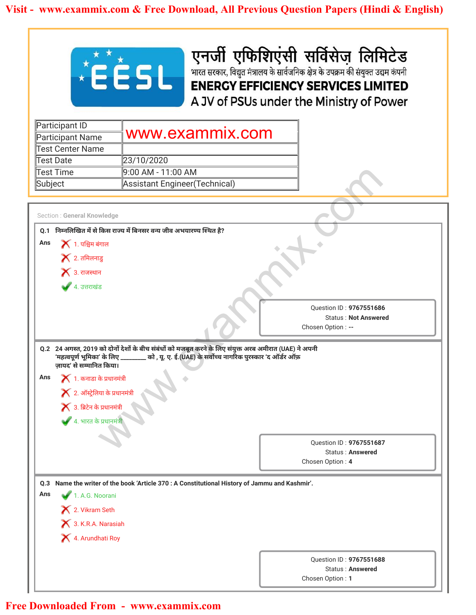

| Participant ID   |                                |
|------------------|--------------------------------|
| Participant Name | www.exammix.com                |
| Test Center Name |                                |
| Test Date        | 23/10/2020                     |
| Test Time        | ∥9:00 AM - 11:00 AM            |
| Subject          | Assistant Engineer (Technical) |

|                                                      | <b>EESL</b>                                                                                            | एनर्जी एफिशिएंसी सर्विसेज़ लिमिटेड<br>भारत सरकार, विद्युत मंत्रालय के सार्वजनिक क्षेत्र के उपक्रम की संयुक्त उद्यम कंपनी |
|------------------------------------------------------|--------------------------------------------------------------------------------------------------------|--------------------------------------------------------------------------------------------------------------------------|
|                                                      |                                                                                                        | <b>ENERGY EFFICIENCY SERVICES LIMITED</b><br>A JV of PSUs under the Ministry of Power                                    |
|                                                      |                                                                                                        |                                                                                                                          |
| Participant ID                                       | www.exammix.com                                                                                        |                                                                                                                          |
| <b>Participant Name</b><br><b>Test Center Name</b>   |                                                                                                        |                                                                                                                          |
| <b>Test Date</b>                                     | 23/10/2020                                                                                             |                                                                                                                          |
| <b>Test Time</b>                                     | 9:00 AM - 11:00 AM                                                                                     |                                                                                                                          |
| Subject                                              | Assistant Engineer(Technical)                                                                          |                                                                                                                          |
|                                                      |                                                                                                        |                                                                                                                          |
| Section : General Knowledge                          |                                                                                                        |                                                                                                                          |
|                                                      | Q.1 निम्नलिखित में से किस राज्य में बिनसर वन्य जीव अभयारण्य स्थित है?                                  |                                                                                                                          |
| $\blacktriangleright$ 1. पश्चिम बंगाल<br>Ans         |                                                                                                        |                                                                                                                          |
| $\blacktriangleright$ 2. तमिलनाडु                    |                                                                                                        |                                                                                                                          |
| $\blacktriangleright$ 3. राजस्थान                    |                                                                                                        |                                                                                                                          |
| ● 4. उत्तराखंड                                       |                                                                                                        |                                                                                                                          |
|                                                      |                                                                                                        |                                                                                                                          |
|                                                      |                                                                                                        | Question ID: 9767551686                                                                                                  |
|                                                      |                                                                                                        | <b>Status: Not Answered</b><br>Chosen Option: --                                                                         |
|                                                      |                                                                                                        |                                                                                                                          |
|                                                      |                                                                                                        |                                                                                                                          |
|                                                      | Q.2 24 अगस्त, 2019 को दोनों देशों के बीच संबंधों को मजबूत करने के लिए संयुक्त अरब अमीरात (UAE) ने अपनी |                                                                                                                          |
| 'महत्वपूर्ण भूमिका' के लिए ़                         | को , यू. ए. ई.(UAE) के सर्वोच्च नागरिक पुरस्कार 'द ऑर्डर ऑफ़                                           |                                                                                                                          |
| ज़ायद' से सम्मानित किया।<br>Ans                      |                                                                                                        |                                                                                                                          |
| $\blacktriangleright$ 1. कनाडा के प्रधानमंत्री       |                                                                                                        |                                                                                                                          |
| $\blacktriangleright$ 2. ऑस्ट्रेलिया के प्रधानमंत्री |                                                                                                        |                                                                                                                          |
| $\blacktriangleright$ 3. ब्रिटेन के प्रधानमंत्री     |                                                                                                        |                                                                                                                          |
| <del>-</del><br>▲ 4. भारत के प्रधानमंत्री            |                                                                                                        |                                                                                                                          |
|                                                      |                                                                                                        |                                                                                                                          |
|                                                      |                                                                                                        | Question ID: 9767551687<br>Status: Answered                                                                              |
|                                                      |                                                                                                        | Chosen Option: 4                                                                                                         |
|                                                      |                                                                                                        |                                                                                                                          |
| Ans                                                  | Q.3 Name the writer of the book 'Article 370 : A Constitutional History of Jammu and Kashmir'.         |                                                                                                                          |
| 1. A.G. Noorani                                      |                                                                                                        |                                                                                                                          |
| X 2. Vikram Seth                                     |                                                                                                        |                                                                                                                          |
| 3. K.R.A. Narasiah                                   |                                                                                                        |                                                                                                                          |
| 4. Arundhati Roy                                     |                                                                                                        |                                                                                                                          |
|                                                      |                                                                                                        |                                                                                                                          |
|                                                      |                                                                                                        | Question ID: 9767551688<br>Status: Answered                                                                              |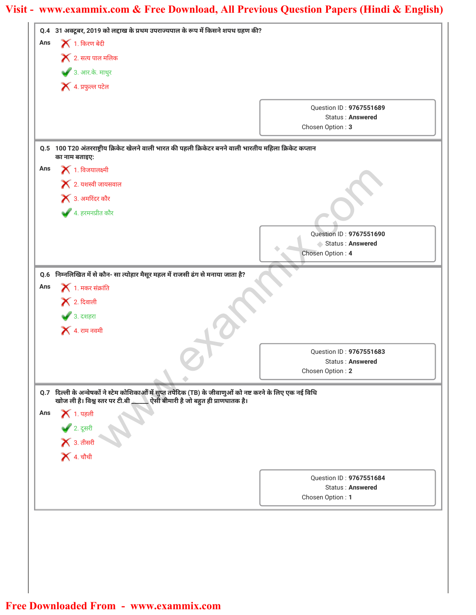| $\blacktriangleright$ 1. किरण बेदी<br>Ans<br>$\blacktriangleright$ 2. सत्य पाल मलिक<br>3. आर.के. माथुर<br>$\blacktriangleright$ 4. प्रफुल्ल पटेल<br>Question ID: 9767551689<br>Status: Answered<br>Chosen Option: 3<br>Q.5 100 T20 अंतरराष्ट्रीय क्रिकेट खेलने वाली भारत की पहली क्रिकेटर बनने वाली भारतीय महिला क्रिकेट कप्तान<br>का नाम बताइए:<br>$\blacktriangleright$ 1. विजयालक्ष्मी<br>$\blacktriangleright$ 2. यशस्वी जायसवाल<br>$\blacktriangleright$ 3. अमरिंदर कौर<br>$\blacktriangleright$ 4. हरमनप्रीत कौर<br>Question ID: 9767551690<br>Status: Answered<br>Chosen Option: 4<br>0.6 निम्नलिखित में से कौन- सा त्योहार मैसूर महल में राजसी ढंग से मनाया जाता है?<br>$\blacktriangleright$ 1. मकर संक्रांति<br>Ans<br>$\blacktriangleright$ 2. दिवाली<br>♦ 3. दशहरा<br>$\blacktriangleright$ 4. राम नवमी<br>Ouestion ID: 9767551683<br><b>Status: Answered</b><br>Chosen Option: 2<br>Q.7 दिल्ली के अन्वेषकों ने स्टेम कोशिकाओं में सुप्त तपेदिक (TB) के जीवाणुओं को नष्ट करने के लिए एक नई विधि<br>खोज ली है। विश्व स्तर पर टी.बी __<br><u></u> ऐसी बीमारी है जो बहुत ही प्राणघातक है।<br>$\blacktriangleright$ 1. पहली<br>Ans<br><b>√</b> 2. दूसरी<br>ズ 3. तीसरी<br><b>X</b> 4. चौथी<br>Question ID: 9767551684<br><b>Status: Answered</b><br>Chosen Option: 1 |     | Q.4 31 अक्टूबर, 2019 को लद्दाख के प्रथम उपराज्यपाल के रूप में किसने शपथ ग्रहण की? |  |
|-----------------------------------------------------------------------------------------------------------------------------------------------------------------------------------------------------------------------------------------------------------------------------------------------------------------------------------------------------------------------------------------------------------------------------------------------------------------------------------------------------------------------------------------------------------------------------------------------------------------------------------------------------------------------------------------------------------------------------------------------------------------------------------------------------------------------------------------------------------------------------------------------------------------------------------------------------------------------------------------------------------------------------------------------------------------------------------------------------------------------------------------------------------------------------------------------------------------------------------------------------------------------------|-----|-----------------------------------------------------------------------------------|--|
|                                                                                                                                                                                                                                                                                                                                                                                                                                                                                                                                                                                                                                                                                                                                                                                                                                                                                                                                                                                                                                                                                                                                                                                                                                                                             |     |                                                                                   |  |
|                                                                                                                                                                                                                                                                                                                                                                                                                                                                                                                                                                                                                                                                                                                                                                                                                                                                                                                                                                                                                                                                                                                                                                                                                                                                             |     |                                                                                   |  |
|                                                                                                                                                                                                                                                                                                                                                                                                                                                                                                                                                                                                                                                                                                                                                                                                                                                                                                                                                                                                                                                                                                                                                                                                                                                                             |     |                                                                                   |  |
|                                                                                                                                                                                                                                                                                                                                                                                                                                                                                                                                                                                                                                                                                                                                                                                                                                                                                                                                                                                                                                                                                                                                                                                                                                                                             |     |                                                                                   |  |
|                                                                                                                                                                                                                                                                                                                                                                                                                                                                                                                                                                                                                                                                                                                                                                                                                                                                                                                                                                                                                                                                                                                                                                                                                                                                             |     |                                                                                   |  |
|                                                                                                                                                                                                                                                                                                                                                                                                                                                                                                                                                                                                                                                                                                                                                                                                                                                                                                                                                                                                                                                                                                                                                                                                                                                                             |     |                                                                                   |  |
|                                                                                                                                                                                                                                                                                                                                                                                                                                                                                                                                                                                                                                                                                                                                                                                                                                                                                                                                                                                                                                                                                                                                                                                                                                                                             |     |                                                                                   |  |
|                                                                                                                                                                                                                                                                                                                                                                                                                                                                                                                                                                                                                                                                                                                                                                                                                                                                                                                                                                                                                                                                                                                                                                                                                                                                             |     |                                                                                   |  |
|                                                                                                                                                                                                                                                                                                                                                                                                                                                                                                                                                                                                                                                                                                                                                                                                                                                                                                                                                                                                                                                                                                                                                                                                                                                                             | Ans |                                                                                   |  |
|                                                                                                                                                                                                                                                                                                                                                                                                                                                                                                                                                                                                                                                                                                                                                                                                                                                                                                                                                                                                                                                                                                                                                                                                                                                                             |     |                                                                                   |  |
|                                                                                                                                                                                                                                                                                                                                                                                                                                                                                                                                                                                                                                                                                                                                                                                                                                                                                                                                                                                                                                                                                                                                                                                                                                                                             |     |                                                                                   |  |
|                                                                                                                                                                                                                                                                                                                                                                                                                                                                                                                                                                                                                                                                                                                                                                                                                                                                                                                                                                                                                                                                                                                                                                                                                                                                             |     |                                                                                   |  |
|                                                                                                                                                                                                                                                                                                                                                                                                                                                                                                                                                                                                                                                                                                                                                                                                                                                                                                                                                                                                                                                                                                                                                                                                                                                                             |     |                                                                                   |  |
|                                                                                                                                                                                                                                                                                                                                                                                                                                                                                                                                                                                                                                                                                                                                                                                                                                                                                                                                                                                                                                                                                                                                                                                                                                                                             |     |                                                                                   |  |
|                                                                                                                                                                                                                                                                                                                                                                                                                                                                                                                                                                                                                                                                                                                                                                                                                                                                                                                                                                                                                                                                                                                                                                                                                                                                             |     |                                                                                   |  |
|                                                                                                                                                                                                                                                                                                                                                                                                                                                                                                                                                                                                                                                                                                                                                                                                                                                                                                                                                                                                                                                                                                                                                                                                                                                                             |     |                                                                                   |  |
|                                                                                                                                                                                                                                                                                                                                                                                                                                                                                                                                                                                                                                                                                                                                                                                                                                                                                                                                                                                                                                                                                                                                                                                                                                                                             |     |                                                                                   |  |
|                                                                                                                                                                                                                                                                                                                                                                                                                                                                                                                                                                                                                                                                                                                                                                                                                                                                                                                                                                                                                                                                                                                                                                                                                                                                             |     |                                                                                   |  |
|                                                                                                                                                                                                                                                                                                                                                                                                                                                                                                                                                                                                                                                                                                                                                                                                                                                                                                                                                                                                                                                                                                                                                                                                                                                                             |     |                                                                                   |  |
|                                                                                                                                                                                                                                                                                                                                                                                                                                                                                                                                                                                                                                                                                                                                                                                                                                                                                                                                                                                                                                                                                                                                                                                                                                                                             |     |                                                                                   |  |
|                                                                                                                                                                                                                                                                                                                                                                                                                                                                                                                                                                                                                                                                                                                                                                                                                                                                                                                                                                                                                                                                                                                                                                                                                                                                             |     |                                                                                   |  |
|                                                                                                                                                                                                                                                                                                                                                                                                                                                                                                                                                                                                                                                                                                                                                                                                                                                                                                                                                                                                                                                                                                                                                                                                                                                                             |     |                                                                                   |  |
|                                                                                                                                                                                                                                                                                                                                                                                                                                                                                                                                                                                                                                                                                                                                                                                                                                                                                                                                                                                                                                                                                                                                                                                                                                                                             |     |                                                                                   |  |
|                                                                                                                                                                                                                                                                                                                                                                                                                                                                                                                                                                                                                                                                                                                                                                                                                                                                                                                                                                                                                                                                                                                                                                                                                                                                             |     |                                                                                   |  |
|                                                                                                                                                                                                                                                                                                                                                                                                                                                                                                                                                                                                                                                                                                                                                                                                                                                                                                                                                                                                                                                                                                                                                                                                                                                                             |     |                                                                                   |  |
|                                                                                                                                                                                                                                                                                                                                                                                                                                                                                                                                                                                                                                                                                                                                                                                                                                                                                                                                                                                                                                                                                                                                                                                                                                                                             |     |                                                                                   |  |
|                                                                                                                                                                                                                                                                                                                                                                                                                                                                                                                                                                                                                                                                                                                                                                                                                                                                                                                                                                                                                                                                                                                                                                                                                                                                             |     |                                                                                   |  |
|                                                                                                                                                                                                                                                                                                                                                                                                                                                                                                                                                                                                                                                                                                                                                                                                                                                                                                                                                                                                                                                                                                                                                                                                                                                                             |     |                                                                                   |  |
|                                                                                                                                                                                                                                                                                                                                                                                                                                                                                                                                                                                                                                                                                                                                                                                                                                                                                                                                                                                                                                                                                                                                                                                                                                                                             |     |                                                                                   |  |
|                                                                                                                                                                                                                                                                                                                                                                                                                                                                                                                                                                                                                                                                                                                                                                                                                                                                                                                                                                                                                                                                                                                                                                                                                                                                             |     |                                                                                   |  |
|                                                                                                                                                                                                                                                                                                                                                                                                                                                                                                                                                                                                                                                                                                                                                                                                                                                                                                                                                                                                                                                                                                                                                                                                                                                                             |     |                                                                                   |  |
|                                                                                                                                                                                                                                                                                                                                                                                                                                                                                                                                                                                                                                                                                                                                                                                                                                                                                                                                                                                                                                                                                                                                                                                                                                                                             |     |                                                                                   |  |
|                                                                                                                                                                                                                                                                                                                                                                                                                                                                                                                                                                                                                                                                                                                                                                                                                                                                                                                                                                                                                                                                                                                                                                                                                                                                             |     |                                                                                   |  |
|                                                                                                                                                                                                                                                                                                                                                                                                                                                                                                                                                                                                                                                                                                                                                                                                                                                                                                                                                                                                                                                                                                                                                                                                                                                                             |     |                                                                                   |  |
|                                                                                                                                                                                                                                                                                                                                                                                                                                                                                                                                                                                                                                                                                                                                                                                                                                                                                                                                                                                                                                                                                                                                                                                                                                                                             |     |                                                                                   |  |
|                                                                                                                                                                                                                                                                                                                                                                                                                                                                                                                                                                                                                                                                                                                                                                                                                                                                                                                                                                                                                                                                                                                                                                                                                                                                             |     |                                                                                   |  |
|                                                                                                                                                                                                                                                                                                                                                                                                                                                                                                                                                                                                                                                                                                                                                                                                                                                                                                                                                                                                                                                                                                                                                                                                                                                                             |     |                                                                                   |  |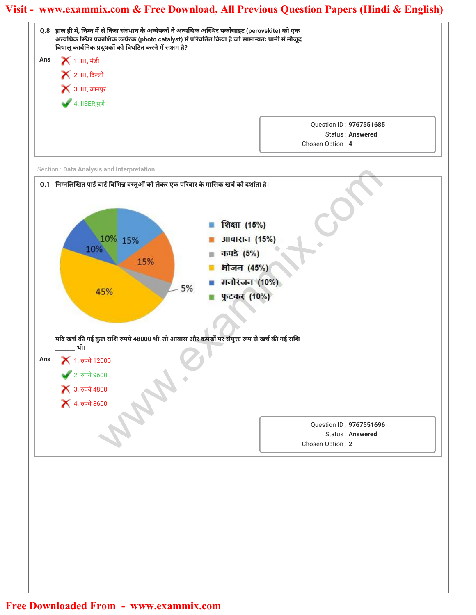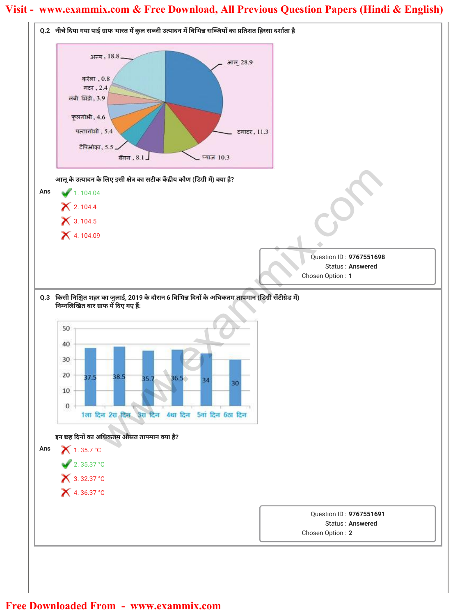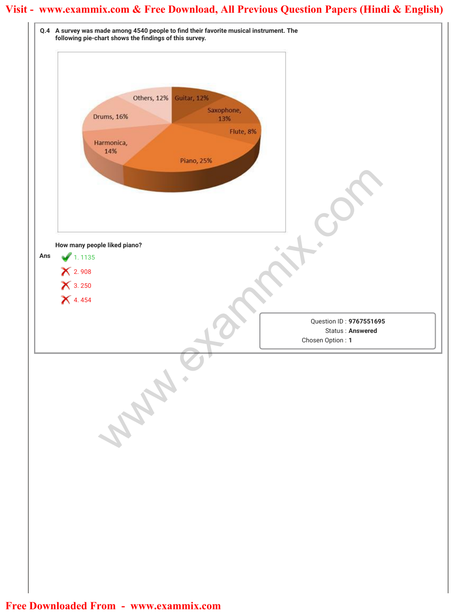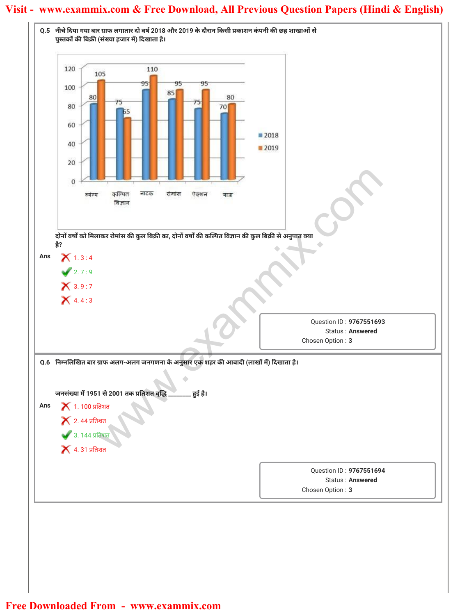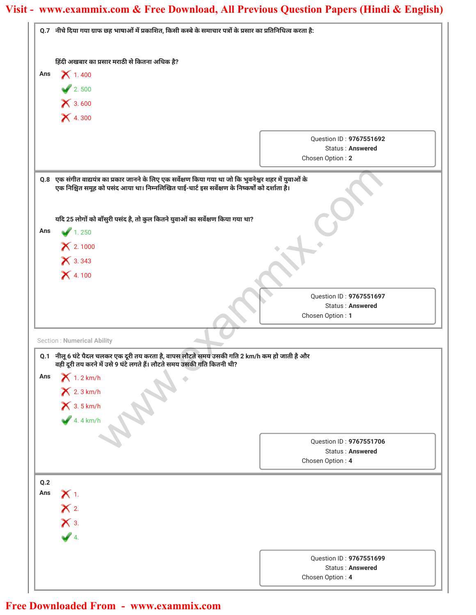|     | Q.7 नीचे दिया गया ग्राफ छह भाषाओं में प्रकाशित, किसी कस्बे के समाचार पत्रों के प्रसार का प्रतिनिधित्व करता है:                                                                                              |                                             |
|-----|-------------------------------------------------------------------------------------------------------------------------------------------------------------------------------------------------------------|---------------------------------------------|
|     | हिंदी अखबार का प्रसार मराठी से कितना अधिक है?                                                                                                                                                               |                                             |
| Ans | $X$ 1.400                                                                                                                                                                                                   |                                             |
|     | 2.500                                                                                                                                                                                                       |                                             |
|     | X 3.600                                                                                                                                                                                                     |                                             |
|     | <b>X</b> 4.300                                                                                                                                                                                              |                                             |
|     |                                                                                                                                                                                                             |                                             |
|     |                                                                                                                                                                                                             | Question ID: 9767551692                     |
|     |                                                                                                                                                                                                             | Status: Answered<br>Chosen Option: 2        |
|     |                                                                                                                                                                                                             |                                             |
|     | Q.8 एक संगीत वाद्ययंत्र का प्रकार जानने के लिए एक सर्वेक्षण किया गया था जो कि भुवनेश्वर शहर में युवाओं के<br>एक निश्चित समूह को पसंद आया था। निम्नलिखित पाई-चार्ट इस सर्वेक्षण के निष्कर्षों को दर्शाता है। |                                             |
|     |                                                                                                                                                                                                             |                                             |
|     | यदि 25 लोगों को बाँसुरी पसंद है, तो कुल कितने युवाओं का सर्वेक्षण किया गया था?                                                                                                                              |                                             |
| Ans | 1.250                                                                                                                                                                                                       |                                             |
|     | $X$ 2.1000                                                                                                                                                                                                  |                                             |
|     | $X$ 3.343                                                                                                                                                                                                   |                                             |
|     | $X$ 4.100                                                                                                                                                                                                   |                                             |
|     |                                                                                                                                                                                                             |                                             |
|     |                                                                                                                                                                                                             | Question ID: 9767551697                     |
|     |                                                                                                                                                                                                             | Status: Answered<br>Chosen Option: 1        |
|     |                                                                                                                                                                                                             |                                             |
|     | <b>Section: Numerical Ability</b>                                                                                                                                                                           |                                             |
|     | Q.1    नीलू 6 घंटे पैदल चलकर एक दूरी तय करता है, वापस लौटते समय उसकी गति 2 km/h कम हो जाती है और                                                                                                            |                                             |
| Ans | वही दूरी तय करने में उसे 9 घंटे लगते हैं। लौटते समय उसकी गति कितनी थी?<br>$X$ 1.2 km/h                                                                                                                      |                                             |
|     | $X$ 2.3 km/h                                                                                                                                                                                                |                                             |
|     |                                                                                                                                                                                                             |                                             |
|     | $X$ 3.5 km/h                                                                                                                                                                                                |                                             |
|     |                                                                                                                                                                                                             |                                             |
|     |                                                                                                                                                                                                             |                                             |
|     |                                                                                                                                                                                                             | Question ID: 9767551706                     |
|     |                                                                                                                                                                                                             | Status: Answered                            |
|     |                                                                                                                                                                                                             | Chosen Option: 4                            |
| Q.2 |                                                                                                                                                                                                             |                                             |
| Ans | $X_{1}$                                                                                                                                                                                                     |                                             |
|     | $\mathsf{X}$ 2.                                                                                                                                                                                             |                                             |
|     | $\mathsf{X}$ 3.                                                                                                                                                                                             |                                             |
|     | $\sqrt{4}$                                                                                                                                                                                                  |                                             |
|     |                                                                                                                                                                                                             |                                             |
|     |                                                                                                                                                                                                             | Question ID: 9767551699<br>Status: Answered |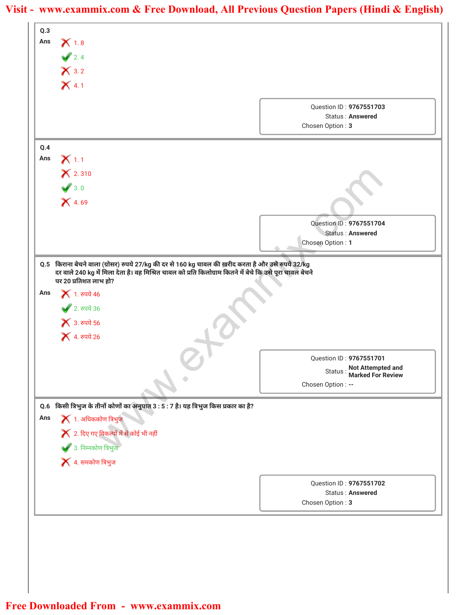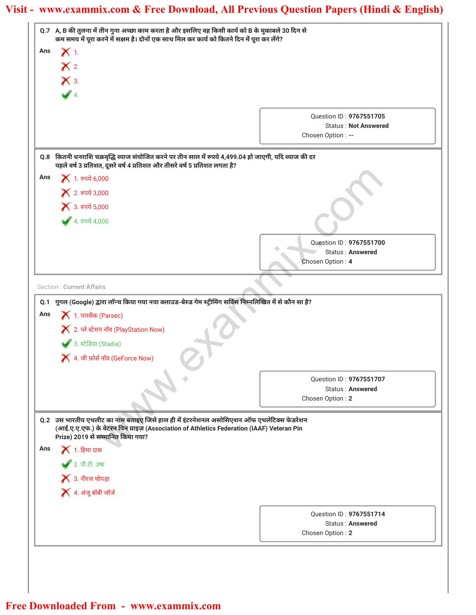|     | Q.7 A, B की तुलना में तीन गुना अच्छा काम करता है और इसलिए वह किसी कार्य को B के मुकाबले 30 दिन से<br>कम समय में पूरा करने में सक्षम है। दोनों एक साथ मिल कर कार्य को कितने दिन में पूरा कर लेंगे?                          |                                             |
|-----|----------------------------------------------------------------------------------------------------------------------------------------------------------------------------------------------------------------------------|---------------------------------------------|
| Ans | $\chi_1$                                                                                                                                                                                                                   |                                             |
|     | $\mathsf{X}$ 2.                                                                                                                                                                                                            |                                             |
|     | $\mathsf{X}$ 3.                                                                                                                                                                                                            |                                             |
|     |                                                                                                                                                                                                                            |                                             |
|     | $\sqrt{4}$                                                                                                                                                                                                                 |                                             |
|     |                                                                                                                                                                                                                            | Question ID: 9767551705                     |
|     |                                                                                                                                                                                                                            | <b>Status: Not Answered</b>                 |
|     |                                                                                                                                                                                                                            | Chosen Option : --                          |
|     | Q.8 कितनी धनराशि चक्रवृद्धि ब्याज संयोजित करने पर तीन साल में रुपये 4,499.04 हो जाएगी, यदि ब्याज की दर<br>पहले वर्ष 3 प्रतिशत, दूसरे वर्ष 4 प्रतिशत और तीसरे वर्ष 5 प्रतिशत लगता है?                                       |                                             |
| Ans | <b>X</b> 1. रुपये 6,000                                                                                                                                                                                                    |                                             |
|     | × 2. रुपये 3,000                                                                                                                                                                                                           |                                             |
|     | × 3. रुपये 5,000                                                                                                                                                                                                           |                                             |
|     | 4.84444000                                                                                                                                                                                                                 |                                             |
|     |                                                                                                                                                                                                                            |                                             |
|     |                                                                                                                                                                                                                            | Question ID: 9767551700                     |
|     |                                                                                                                                                                                                                            | <b>Status: Answered</b><br>Chosen Option: 4 |
|     |                                                                                                                                                                                                                            |                                             |
|     | <b>Section: Current Affairs</b>                                                                                                                                                                                            |                                             |
|     | Q.1 गूगल (Google) द्वारा लॉन्च किया गया नया क्लाउड-बेस्ड गेम स्ट्रीमिंग सर्विस निम्नलिखित में से कौन सा है?                                                                                                                |                                             |
| Ans | $\blacktriangleright$ 1. पारसैक (Parsec)                                                                                                                                                                                   |                                             |
|     | <b>X</b> 2. प्ले स्टेशन नॉव (PlayStation Now)                                                                                                                                                                              |                                             |
|     | 3. स्टेडिया (Stadia)                                                                                                                                                                                                       |                                             |
|     | $\blacktriangleright$ 4. जी फ़ोर्स नॉव (GeForce Now)                                                                                                                                                                       |                                             |
|     |                                                                                                                                                                                                                            |                                             |
|     |                                                                                                                                                                                                                            | Question ID: 9767551707                     |
|     |                                                                                                                                                                                                                            | <b>Status: Answered</b><br>Chosen Option: 2 |
|     |                                                                                                                                                                                                                            |                                             |
|     | Q.2 उस भारतीय एथलीट का नाम बताइए जिसे हाल ही में इंटरनेशनल असोसिएशन ऑफ एथलेटिक्स फेडरेशन<br>(आई.ए.ए.एफ.) के वेटरन पिन प्राइज़ (Association of Athletics Federation (IAAF) Veteran Pin<br>Prize) 2019 से सम्मानित किया गया? |                                             |
| Ans | $\blacktriangleright$ 1. हिमा दास                                                                                                                                                                                          |                                             |
|     | ● 2. पी.टी. उषा                                                                                                                                                                                                            |                                             |
|     | $\bigtimes$ 3. नीरज चोपड़ा                                                                                                                                                                                                 |                                             |
|     | $\blacktriangleright$ 4. अंजू बॉबी जॉर्ज                                                                                                                                                                                   |                                             |
|     |                                                                                                                                                                                                                            |                                             |
|     |                                                                                                                                                                                                                            | Question ID: 9767551714                     |
|     |                                                                                                                                                                                                                            | Status: Answered<br>Chosen Option: 2        |
|     |                                                                                                                                                                                                                            |                                             |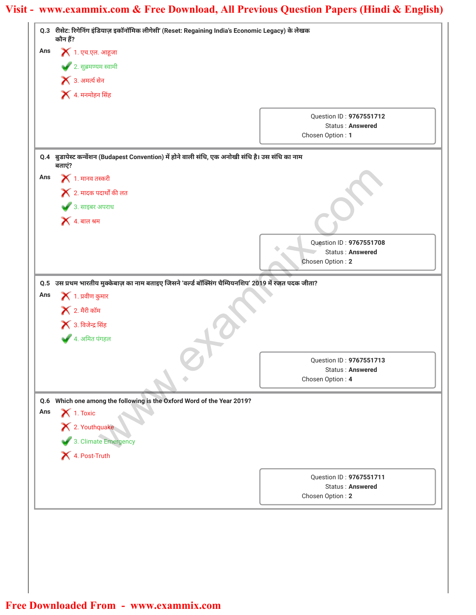|     | Q.3 रीसेट: रिगेनिंग इंडियाज़ इकॉनॉमिक लीगेसी' (Reset: Regaining India's Economic Legacy) के लेखक<br>कौन हैं? |                                                    |
|-----|--------------------------------------------------------------------------------------------------------------|----------------------------------------------------|
| Ans | $\blacktriangleright$ 1. एच.एल. आहूजा                                                                        |                                                    |
|     | • 2. सुब्रमण्यम स्वामी                                                                                       |                                                    |
|     | $\blacktriangleright$ 3. अमर्त्य सेन                                                                         |                                                    |
|     | $\blacktriangleright$ 4. मनमोहन सिंह                                                                         |                                                    |
|     |                                                                                                              |                                                    |
|     |                                                                                                              | Question ID: 9767551712<br>Status: Answered        |
|     |                                                                                                              | Chosen Option: 1                                   |
|     | Q.4 बुडापेस्ट कन्वेंशन (Budapest Convention) में होने वाली संधि, एक अनोखी संधि है। उस संधि का नाम            |                                                    |
|     | बताएं?                                                                                                       |                                                    |
| Ans | $\blacktriangleright$ 1. मानव तस्करी                                                                         |                                                    |
|     | $\blacktriangleright$ 2. मादक पदार्थों की लत                                                                 |                                                    |
|     | ◆ 3. साइबर अपराध                                                                                             |                                                    |
|     | $\blacktriangleright$ 4. बाल श्रम                                                                            |                                                    |
|     |                                                                                                              | Question ID: 9767551708                            |
|     |                                                                                                              | Status: Answered                                   |
|     |                                                                                                              | Chosen Option: 2                                   |
|     | Q.5 उस प्रथम भारतीय मुक्केबाज़ का नाम बताइए जिसने 'वर्ल्ड बॉक्सिंग चैम्पियनशिप' 2019 में रजत पदक जीता?       |                                                    |
| Ans | $\blacktriangleright$ 1. प्रवीण कुमार                                                                        |                                                    |
|     | $\blacktriangleright$ 2. मैरी कॉम                                                                            |                                                    |
|     | $\blacktriangleright$ 3. विजेन्द्र सिंह                                                                      |                                                    |
|     | ▲ 4. अमित पंगहल                                                                                              |                                                    |
|     |                                                                                                              |                                                    |
|     |                                                                                                              | Question ID: 9767551713<br><b>Status: Answered</b> |
|     |                                                                                                              | Chosen Option: 4                                   |
|     | Q.6 Which one among the following is the Oxford Word of the Year 2019?                                       |                                                    |
| Ans | $\blacktriangleright$ 1. Toxic                                                                               |                                                    |
|     | X 2. Youthquake                                                                                              |                                                    |
|     | 3. Climate Emergency                                                                                         |                                                    |
|     | X 4. Post-Truth                                                                                              |                                                    |
|     |                                                                                                              |                                                    |
|     |                                                                                                              | Question ID: 9767551711<br><b>Status: Answered</b> |
|     |                                                                                                              | Chosen Option: 2                                   |
|     |                                                                                                              |                                                    |
|     |                                                                                                              |                                                    |
|     |                                                                                                              |                                                    |
|     |                                                                                                              |                                                    |
|     |                                                                                                              |                                                    |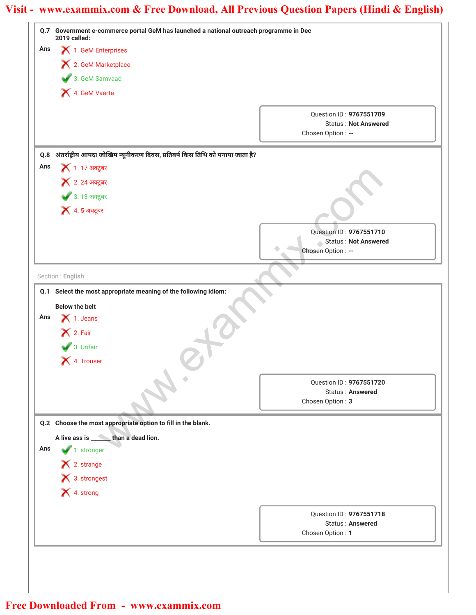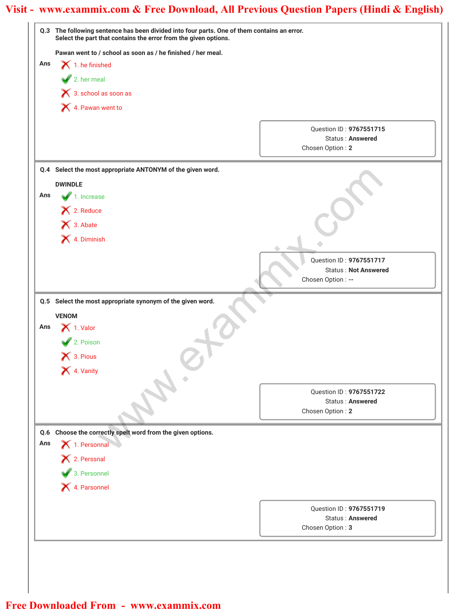|     | Q.3 The following sentence has been divided into four parts. One of them contains an error.<br>Select the part that contains the error from the given options. |                                                                        |
|-----|----------------------------------------------------------------------------------------------------------------------------------------------------------------|------------------------------------------------------------------------|
|     | Pawan went to / school as soon as / he finished / her meal.                                                                                                    |                                                                        |
| Ans | $\blacktriangleright$ 1. he finished                                                                                                                           |                                                                        |
|     | $\blacktriangleright$ 2. her meal                                                                                                                              |                                                                        |
|     | X 3. school as soon as                                                                                                                                         |                                                                        |
|     | 4. Pawan went to                                                                                                                                               |                                                                        |
|     |                                                                                                                                                                |                                                                        |
|     |                                                                                                                                                                | Question ID: 9767551715<br>Status: Answered                            |
|     |                                                                                                                                                                | Chosen Option: 2                                                       |
|     | Q.4 Select the most appropriate ANTONYM of the given word.                                                                                                     |                                                                        |
|     | <b>DWINDLE</b>                                                                                                                                                 |                                                                        |
| Ans | $\blacktriangleright$ 1. Increase                                                                                                                              |                                                                        |
|     | × 2. Reduce                                                                                                                                                    |                                                                        |
|     | 1 3. Abate                                                                                                                                                     |                                                                        |
|     | X 4. Diminish                                                                                                                                                  |                                                                        |
|     |                                                                                                                                                                |                                                                        |
|     |                                                                                                                                                                | Question ID: 9767551717<br><b>Status: Not Answered</b>                 |
|     |                                                                                                                                                                | Chosen Option : --                                                     |
| Ans | <b>VENOM</b><br>$\bigtimes$ 1. Valor<br>2. Poison<br>$\bigtimes$ 3. Pious<br>X 4. Vanity                                                                       |                                                                        |
|     |                                                                                                                                                                | Question ID: 9767551722<br><b>Status: Answered</b><br>Chosen Option: 2 |
| Q.6 | Choose the correctly spelt word from the given options.                                                                                                        |                                                                        |
| Ans | 1. Personnal                                                                                                                                                   |                                                                        |
|     | X 2. Perssnal                                                                                                                                                  |                                                                        |
|     | 3. Personnel                                                                                                                                                   |                                                                        |
|     | X 4. Parsonnel                                                                                                                                                 |                                                                        |
|     |                                                                                                                                                                | Question ID: 9767551719                                                |
|     |                                                                                                                                                                | <b>Status: Answered</b>                                                |
|     |                                                                                                                                                                | Chosen Option: 3                                                       |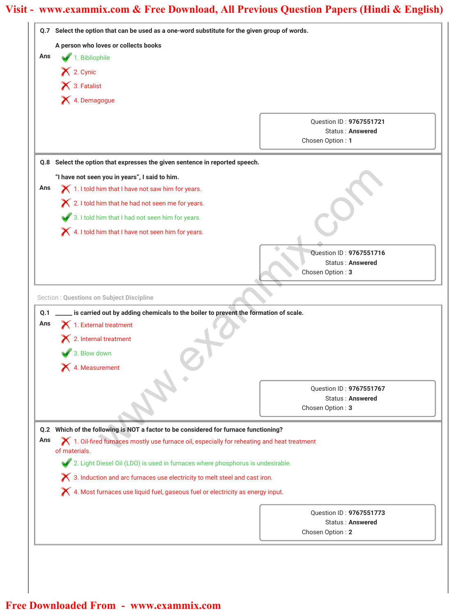|     | Q.7 Select the option that can be used as a one-word substitute for the given group of words.                                  |                                                    |  |
|-----|--------------------------------------------------------------------------------------------------------------------------------|----------------------------------------------------|--|
|     | A person who loves or collects books                                                                                           |                                                    |  |
| Ans | 1. Bibliophile                                                                                                                 |                                                    |  |
|     | $\blacktriangleright$ 2. Cynic                                                                                                 |                                                    |  |
|     | × 3. Fatalist                                                                                                                  |                                                    |  |
|     | X 4. Demagogue                                                                                                                 |                                                    |  |
|     |                                                                                                                                | Question ID: 9767551721                            |  |
|     |                                                                                                                                | <b>Status: Answered</b>                            |  |
|     |                                                                                                                                | Chosen Option: 1                                   |  |
|     | Q.8 Select the option that expresses the given sentence in reported speech.                                                    |                                                    |  |
|     | "I have not seen you in years", I said to him.                                                                                 |                                                    |  |
| Ans | 1. I told him that I have not saw him for years.                                                                               |                                                    |  |
|     | X 2. I told him that he had not seen me for years.                                                                             |                                                    |  |
|     | 3. I told him that I had not seen him for years.                                                                               |                                                    |  |
|     | X 4. I told him that I have not seen him for years.                                                                            |                                                    |  |
|     |                                                                                                                                |                                                    |  |
|     |                                                                                                                                | Question ID: 9767551716<br><b>Status: Answered</b> |  |
|     |                                                                                                                                | Chosen Option: 3                                   |  |
|     |                                                                                                                                |                                                    |  |
| Ans | $\blacktriangleright$ 1. External treatment<br>$\boldsymbol{\times}$ 2. Internal treatment<br>3. Blow down<br>X 4. Measurement |                                                    |  |
|     |                                                                                                                                | Question ID: 9767551767                            |  |
|     |                                                                                                                                | <b>Status: Answered</b><br>Chosen Option: 3        |  |
|     |                                                                                                                                |                                                    |  |
| Q.2 | Which of the following is NOT a factor to be considered for furnace functioning?                                               |                                                    |  |
| Ans | 1. Oil-fired furnaces mostly use furnace oil, especially for reheating and heat treatment<br>of materials.                     |                                                    |  |
|     | 2. Light Diesel Oil (LDO) is used in furnaces where phosphorus is undesirable.                                                 |                                                    |  |
|     | X 3. Induction and arc furnaces use electricity to melt steel and cast iron.                                                   |                                                    |  |
|     | X 4. Most furnaces use liquid fuel, gaseous fuel or electricity as energy input.                                               |                                                    |  |
|     |                                                                                                                                | Question ID: 9767551773                            |  |
|     |                                                                                                                                | <b>Status: Answered</b>                            |  |
|     |                                                                                                                                | Chosen Option: 2                                   |  |
|     |                                                                                                                                |                                                    |  |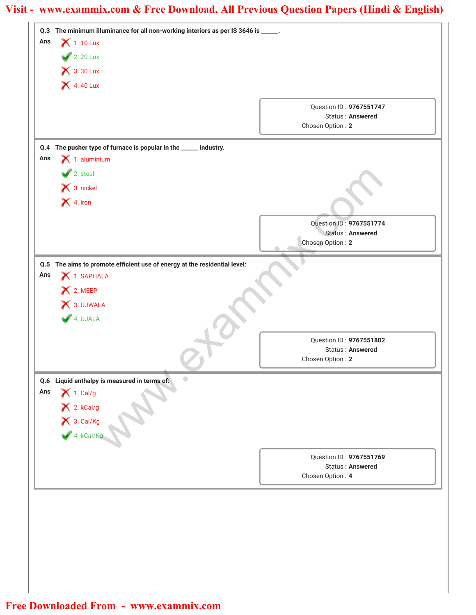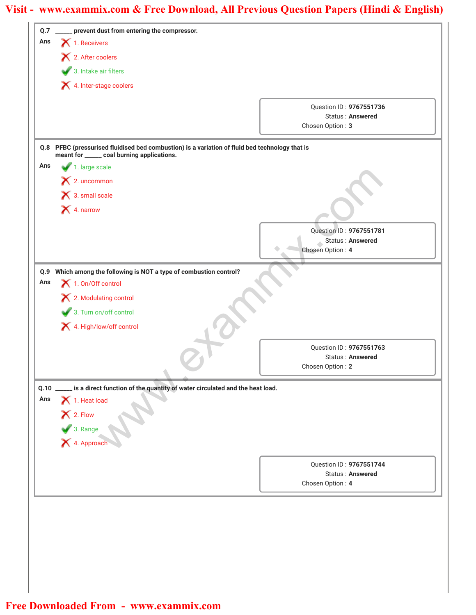| Q.7         | prevent dust from entering the compressor.                                                 |                                             |
|-------------|--------------------------------------------------------------------------------------------|---------------------------------------------|
| Ans         | $\blacktriangleright$ 1. Receivers                                                         |                                             |
|             | 2. After coolers                                                                           |                                             |
|             | 3. Intake air filters                                                                      |                                             |
|             | 4. Inter-stage coolers                                                                     |                                             |
|             |                                                                                            |                                             |
|             |                                                                                            | Question ID: 9767551736<br>Status: Answered |
|             |                                                                                            | Chosen Option: 3                            |
| Q.8         | PFBC (pressurised fluidised bed combustion) is a variation of fluid bed technology that is |                                             |
|             | meant for ______ coal burning applications.                                                |                                             |
| Ans         | 1. large scale                                                                             |                                             |
|             | $\mathsf{X}$ 2. uncommon                                                                   |                                             |
|             | $\bigtimes$ 3. small scale                                                                 |                                             |
|             | X 4. narrow                                                                                |                                             |
|             |                                                                                            | Question ID: 9767551781                     |
|             |                                                                                            | Status: Answered                            |
|             |                                                                                            | Chosen Option: 4                            |
| Q.9         | Which among the following is NOT a type of combustion control?                             |                                             |
| Ans         | $\blacktriangleright$ 1. On/Off control                                                    |                                             |
|             | X 2. Modulating control                                                                    |                                             |
|             | 3. Turn on/off control                                                                     |                                             |
|             | 4. High/low/off control                                                                    |                                             |
|             |                                                                                            |                                             |
|             |                                                                                            | Question ID: 9767551763<br>Status: Answered |
|             |                                                                                            | Chosen Option: 2                            |
|             |                                                                                            |                                             |
| Q.10<br>Ans | is a direct function of the quantity of water circulated and the heat load.                |                                             |
|             | $\blacktriangleright$ 1. Heat load                                                         |                                             |
|             |                                                                                            |                                             |
|             | X 2. Flow<br>3. Range<br>X 4. Approach                                                     |                                             |
|             |                                                                                            |                                             |
|             |                                                                                            | Question ID: 9767551744                     |
|             |                                                                                            | Status: Answered                            |
|             |                                                                                            | Chosen Option: 4                            |
|             |                                                                                            |                                             |
|             |                                                                                            |                                             |
|             |                                                                                            |                                             |
|             |                                                                                            |                                             |
|             |                                                                                            |                                             |
|             |                                                                                            |                                             |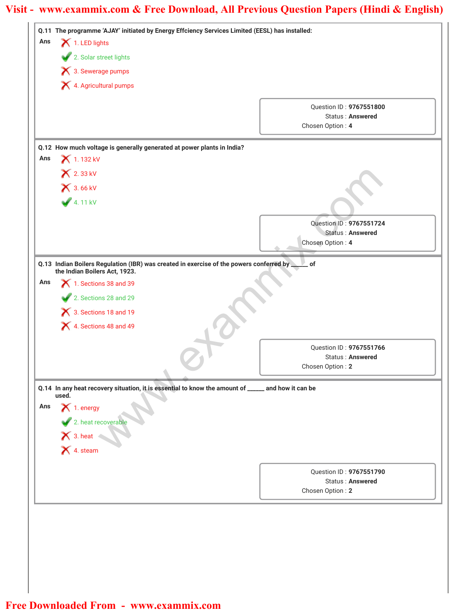| Ans | Q.11 The programme 'AJAY' initiated by Energy Effciency Services Limited (EESL) has installed:                           |                                                                                                   |  |
|-----|--------------------------------------------------------------------------------------------------------------------------|---------------------------------------------------------------------------------------------------|--|
|     | 1. LED lights                                                                                                            |                                                                                                   |  |
|     | 2. Solar street lights                                                                                                   |                                                                                                   |  |
|     | 1 3. Sewerage pumps                                                                                                      |                                                                                                   |  |
|     | X 4. Agricultural pumps                                                                                                  |                                                                                                   |  |
|     |                                                                                                                          | Question ID: 9767551800                                                                           |  |
|     |                                                                                                                          | <b>Status: Answered</b>                                                                           |  |
|     |                                                                                                                          | Chosen Option: 4                                                                                  |  |
|     | Q.12 How much voltage is generally generated at power plants in India?                                                   |                                                                                                   |  |
| Ans | 1.132 kV                                                                                                                 |                                                                                                   |  |
|     | <b>X</b> 2.33 kV                                                                                                         |                                                                                                   |  |
|     | <b>X</b> 3.66 kV                                                                                                         |                                                                                                   |  |
|     | 4.11 kV                                                                                                                  |                                                                                                   |  |
|     |                                                                                                                          |                                                                                                   |  |
|     |                                                                                                                          | Question ID: 9767551724<br><b>Status: Answered</b>                                                |  |
|     |                                                                                                                          | Chosen Option: 4                                                                                  |  |
|     |                                                                                                                          |                                                                                                   |  |
|     | Q.13 Indian Boilers Regulation (IBR) was created in exercise of the powers conferred by<br>the Indian Boilers Act, 1923. | $\overline{\phantom{a}}$ of                                                                       |  |
| Ans | 1. Sections 38 and 39                                                                                                    |                                                                                                   |  |
|     | 2. Sections 28 and 29                                                                                                    |                                                                                                   |  |
|     | X 3. Sections 18 and 19                                                                                                  |                                                                                                   |  |
|     | 4. Sections 48 and 49                                                                                                    |                                                                                                   |  |
|     |                                                                                                                          |                                                                                                   |  |
|     |                                                                                                                          | Question ID: 9767551766                                                                           |  |
|     |                                                                                                                          | Status: Answered<br>Chosen Option: 2                                                              |  |
|     |                                                                                                                          |                                                                                                   |  |
|     |                                                                                                                          |                                                                                                   |  |
|     |                                                                                                                          | Q.14 In any heat recovery situation, it is essential to know the amount of ____ and how it can be |  |
| Ans | used.                                                                                                                    |                                                                                                   |  |
|     |                                                                                                                          |                                                                                                   |  |
|     |                                                                                                                          |                                                                                                   |  |
|     |                                                                                                                          |                                                                                                   |  |
|     | 1. energy<br>2. heat recoverable<br>3. heat<br>3. deam                                                                   |                                                                                                   |  |
|     |                                                                                                                          | Question ID: 9767551790                                                                           |  |
|     |                                                                                                                          | Status: Answered<br>Chosen Option: 2                                                              |  |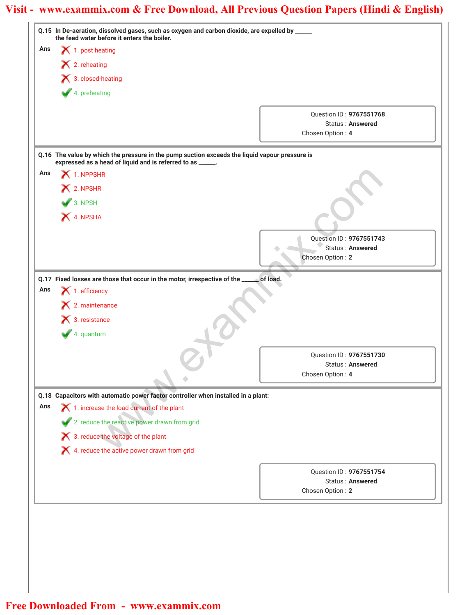|     | Q.15 In De-aeration, dissolved gases, such as oxygen and carbon dioxide, are expelled by _____<br>the feed water before it enters the boiler.                |                                                    |
|-----|--------------------------------------------------------------------------------------------------------------------------------------------------------------|----------------------------------------------------|
| Ans | $\bigtimes$ 1. post heating                                                                                                                                  |                                                    |
|     | $\blacktriangleright$ 2. reheating                                                                                                                           |                                                    |
|     | $\blacktriangleright$ 3. closed-heating                                                                                                                      |                                                    |
|     | 4. preheating                                                                                                                                                |                                                    |
|     |                                                                                                                                                              |                                                    |
|     |                                                                                                                                                              | Question ID: 9767551768<br><b>Status: Answered</b> |
|     |                                                                                                                                                              | Chosen Option: 4                                   |
|     |                                                                                                                                                              |                                                    |
|     | Q.16 The value by which the pressure in the pump suction exceeds the liquid vapour pressure is<br>expressed as a head of liquid and is referred to as _____. |                                                    |
| Ans | $\blacktriangleright$ 1. NPPSHR                                                                                                                              |                                                    |
|     | X 2. NPSHR                                                                                                                                                   |                                                    |
|     | $\bigvee$ 3. NPSH                                                                                                                                            |                                                    |
|     | X 4. NPSHA                                                                                                                                                   |                                                    |
|     |                                                                                                                                                              |                                                    |
|     |                                                                                                                                                              | Question ID: 9767551743                            |
|     |                                                                                                                                                              | Status: Answered<br>Chosen Option: 2               |
|     |                                                                                                                                                              |                                                    |
|     | Q.17 Fixed losses are those that occur in the motor, irrespective of the _____ of load.                                                                      |                                                    |
| Ans | $\blacktriangleright$ 1. efficiency                                                                                                                          |                                                    |
|     | $\mathsf{\times}$ 2. maintenance                                                                                                                             |                                                    |
|     | $\blacktriangleright$ 3. resistance                                                                                                                          |                                                    |
|     | 4. quantum                                                                                                                                                   |                                                    |
|     |                                                                                                                                                              | Question ID: 9767551730                            |
|     |                                                                                                                                                              | <b>Status: Answered</b><br>Chosen Option: 4        |
|     |                                                                                                                                                              |                                                    |
|     | Q.18 Capacitors with automatic power factor controller when installed in a plant:                                                                            |                                                    |
|     | 1. increase the load current of the plant                                                                                                                    |                                                    |
| Ans |                                                                                                                                                              |                                                    |
|     | 2. reduce the reactive power drawn from grid                                                                                                                 |                                                    |
|     | X 3. reduce the voltage of the plant                                                                                                                         |                                                    |
|     | X 4. reduce the active power drawn from grid                                                                                                                 |                                                    |
|     |                                                                                                                                                              |                                                    |
|     |                                                                                                                                                              | Question ID: 9767551754<br><b>Status: Answered</b> |
|     |                                                                                                                                                              | Chosen Option: 2                                   |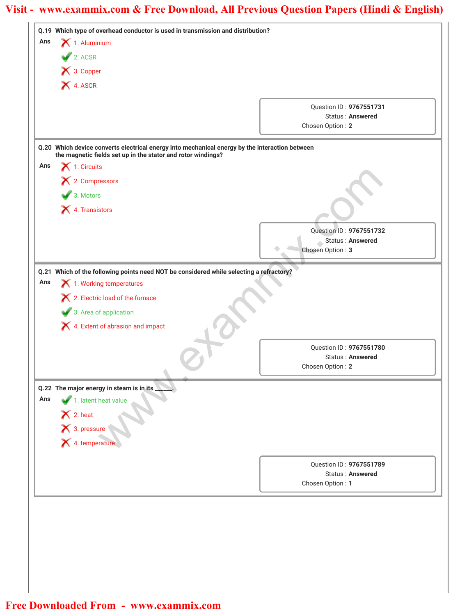| Ans | Q.19 Which type of overhead conductor is used in transmission and distribution?<br>$\boldsymbol{\times}$ 1. Aluminium |                                             |
|-----|-----------------------------------------------------------------------------------------------------------------------|---------------------------------------------|
|     |                                                                                                                       |                                             |
|     | 2. ACSR                                                                                                               |                                             |
|     | X 3. Copper                                                                                                           |                                             |
|     | <b>X</b> 4. ASCR                                                                                                      |                                             |
|     |                                                                                                                       | Question ID: 9767551731                     |
|     |                                                                                                                       | <b>Status: Answered</b>                     |
|     |                                                                                                                       | Chosen Option: 2                            |
|     | Q.20 Which device converts electrical energy into mechanical energy by the interaction between                        |                                             |
| Ans | the magnetic fields set up in the stator and rotor windings?                                                          |                                             |
|     | $\blacktriangleright$ 1. Circuits                                                                                     |                                             |
|     | X 2. Compressors                                                                                                      |                                             |
|     | $\bullet$ 3. Motors                                                                                                   |                                             |
|     | X 4. Transistors                                                                                                      |                                             |
|     |                                                                                                                       | Question ID: 9767551732                     |
|     |                                                                                                                       | Status: Answered                            |
|     |                                                                                                                       | Chosen Option: 3                            |
|     | Q.21 Which of the following points need NOT be considered while selecting a refractory?                               |                                             |
| Ans | $\blacktriangleright$ 1. Working temperatures                                                                         |                                             |
|     | X 2. Electric load of the furnace                                                                                     |                                             |
|     | 3. Area of application                                                                                                |                                             |
|     | X 4. Extent of abrasion and impact                                                                                    |                                             |
|     |                                                                                                                       |                                             |
|     |                                                                                                                       | Question ID: 9767551780<br>Status: Answered |
|     |                                                                                                                       | Chosen Option: 2                            |
|     |                                                                                                                       |                                             |
| Ans | Q.22 The major energy in steam is in its                                                                              |                                             |
|     | 1. latent heat value                                                                                                  |                                             |
|     |                                                                                                                       |                                             |
|     | X 2. heat<br>X 3. pressure<br>X 4. temperature                                                                        |                                             |
|     |                                                                                                                       |                                             |
|     |                                                                                                                       | Question ID: 9767551789                     |
|     |                                                                                                                       | <b>Status: Answered</b>                     |
|     |                                                                                                                       | Chosen Option: 1                            |
|     |                                                                                                                       |                                             |
|     |                                                                                                                       |                                             |
|     |                                                                                                                       |                                             |
|     |                                                                                                                       |                                             |
|     |                                                                                                                       |                                             |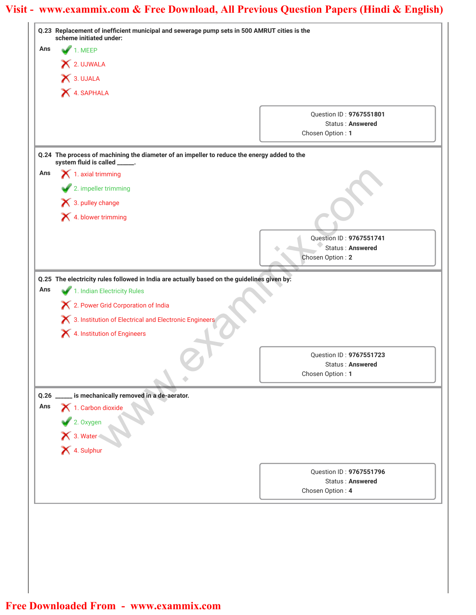|             | Q.23 Replacement of inefficient municipal and sewerage pump sets in 500 AMRUT cities is the<br>scheme initiated under:       |                                                    |
|-------------|------------------------------------------------------------------------------------------------------------------------------|----------------------------------------------------|
| Ans         | 1. MEEP                                                                                                                      |                                                    |
|             | X 2. UJWALA                                                                                                                  |                                                    |
|             | $\bigtimes$ 3. UJALA                                                                                                         |                                                    |
|             | 4. SAPHALA                                                                                                                   |                                                    |
|             |                                                                                                                              |                                                    |
|             |                                                                                                                              | Question ID: 9767551801<br><b>Status: Answered</b> |
|             |                                                                                                                              | Chosen Option: 1                                   |
|             |                                                                                                                              |                                                    |
|             | Q.24 The process of machining the diameter of an impeller to reduce the energy added to the<br>system fluid is called _____. |                                                    |
| Ans         | $\blacktriangle$ 1. axial trimming                                                                                           |                                                    |
|             | 2. impeller trimming                                                                                                         |                                                    |
|             | $\bigtimes$ 3. pulley change                                                                                                 |                                                    |
|             | X 4. blower trimming                                                                                                         |                                                    |
|             |                                                                                                                              |                                                    |
|             |                                                                                                                              | Question ID: 9767551741<br>Status: Answered        |
|             |                                                                                                                              | Chosen Option: 2                                   |
|             | Q.25 The electricity rules followed in India are actually based on the guidelines given by:                                  |                                                    |
| Ans         | 1. Indian Electricity Rules                                                                                                  |                                                    |
|             | X 2. Power Grid Corporation of India                                                                                         |                                                    |
|             | 8. Institution of Electrical and Electronic Engineers                                                                        |                                                    |
|             | X 4. Institution of Engineers                                                                                                |                                                    |
|             |                                                                                                                              |                                                    |
|             |                                                                                                                              | Question ID: 9767551723                            |
|             |                                                                                                                              | <b>Status: Answered</b><br>Chosen Option: 1        |
|             |                                                                                                                              |                                                    |
| Q.26<br>Ans | is mechanically removed in a de-aerator.                                                                                     |                                                    |
|             | 1. Carbon dioxide                                                                                                            |                                                    |
|             |                                                                                                                              |                                                    |
|             | 2. Oxygen<br>X 3. Water<br>X 4. Sulphur                                                                                      |                                                    |
|             |                                                                                                                              |                                                    |
|             |                                                                                                                              | Question ID: 9767551796                            |
|             |                                                                                                                              | <b>Status: Answered</b>                            |
|             |                                                                                                                              | Chosen Option: 4                                   |
|             |                                                                                                                              |                                                    |
|             |                                                                                                                              |                                                    |
|             |                                                                                                                              |                                                    |
|             |                                                                                                                              |                                                    |
|             |                                                                                                                              |                                                    |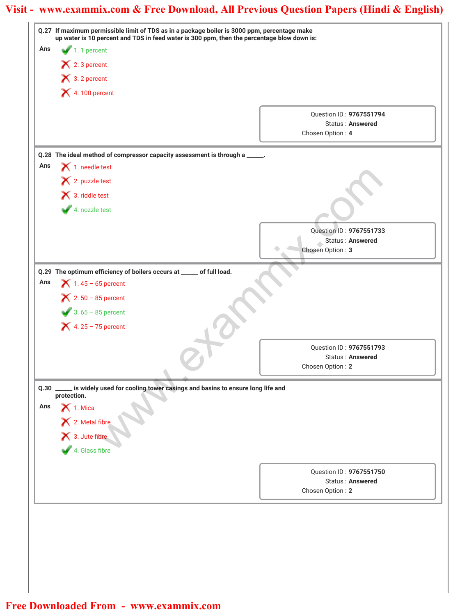|      | Q.27 If maximum permissible limit of TDS as in a package boiler is 3000 ppm, percentage make<br>up water is 10 percent and TDS in feed water is 300 ppm, then the percentage blow down is: |                                             |  |
|------|--------------------------------------------------------------------------------------------------------------------------------------------------------------------------------------------|---------------------------------------------|--|
| Ans  | 1.1 percent                                                                                                                                                                                |                                             |  |
|      | $\mathsf{\times}$ 2. 3 percent                                                                                                                                                             |                                             |  |
|      | $\bigtimes$ 3. 2 percent                                                                                                                                                                   |                                             |  |
|      | $\blacktriangleright$ 4.100 percent                                                                                                                                                        |                                             |  |
|      |                                                                                                                                                                                            | Question ID: 9767551794                     |  |
|      |                                                                                                                                                                                            | <b>Status: Answered</b>                     |  |
|      |                                                                                                                                                                                            | Chosen Option: 4                            |  |
|      | Q.28 The ideal method of compressor capacity assessment is through a _____.                                                                                                                |                                             |  |
| Ans  | $\bigtimes$ 1. needle test                                                                                                                                                                 |                                             |  |
|      | 2. puzzle test                                                                                                                                                                             |                                             |  |
|      | 13. riddle test                                                                                                                                                                            |                                             |  |
|      | 4. nozzle test                                                                                                                                                                             |                                             |  |
|      |                                                                                                                                                                                            |                                             |  |
|      |                                                                                                                                                                                            | Question ID: 9767551733<br>Status: Answered |  |
|      |                                                                                                                                                                                            | Chosen Option: 3                            |  |
|      |                                                                                                                                                                                            |                                             |  |
|      | Q.29 The optimum efficiency of boilers occurs at _____ of full load.                                                                                                                       |                                             |  |
| Ans  | $\blacktriangleright$ 1.45 - 65 percent                                                                                                                                                    |                                             |  |
|      | $2.50 - 85$ percent                                                                                                                                                                        |                                             |  |
|      | $3.65 - 85$ percent                                                                                                                                                                        |                                             |  |
|      | $\blacktriangle$ 4. 25 - 75 percent                                                                                                                                                        |                                             |  |
|      |                                                                                                                                                                                            |                                             |  |
|      |                                                                                                                                                                                            | Question ID: 9767551793<br>Status: Answered |  |
|      |                                                                                                                                                                                            | Chosen Option: 2                            |  |
|      |                                                                                                                                                                                            |                                             |  |
| Q.30 | is widely used for cooling tower casings and basins to ensure long life and<br>protection.                                                                                                 |                                             |  |
| Ans  | $\bigtimes$ 1. Mica                                                                                                                                                                        |                                             |  |
|      |                                                                                                                                                                                            |                                             |  |
|      | X<br>2. Metal fibre<br>3. Jute fibre<br>4. Glass fibre                                                                                                                                     |                                             |  |
|      |                                                                                                                                                                                            |                                             |  |
|      |                                                                                                                                                                                            |                                             |  |
|      |                                                                                                                                                                                            | Question ID: 9767551750                     |  |
|      |                                                                                                                                                                                            | <b>Status: Answered</b>                     |  |
|      |                                                                                                                                                                                            | Chosen Option: 2                            |  |
|      |                                                                                                                                                                                            |                                             |  |
|      |                                                                                                                                                                                            |                                             |  |
|      |                                                                                                                                                                                            |                                             |  |
|      |                                                                                                                                                                                            |                                             |  |
|      |                                                                                                                                                                                            |                                             |  |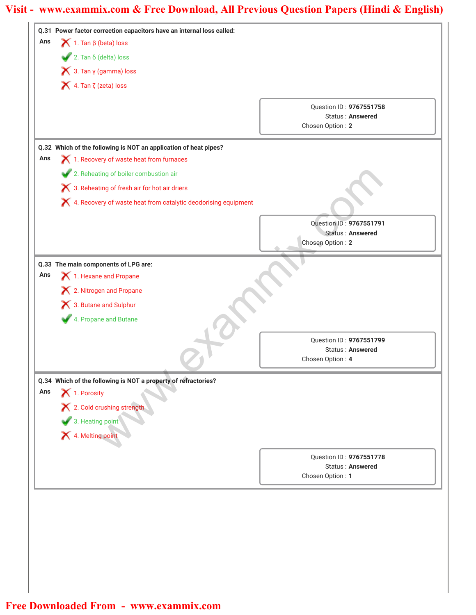|     | Q.31 Power factor correction capacitors have an internal loss called: |                                                    |
|-----|-----------------------------------------------------------------------|----------------------------------------------------|
| Ans | $\blacktriangleright$ 1. Tan $\beta$ (beta) loss                      |                                                    |
|     | $\sqrt{2}$ . Tan $\delta$ (delta) loss                                |                                                    |
|     | $\blacktriangleright$ 3. Tan y (gamma) loss                           |                                                    |
|     | $\blacktriangleright$ 4. Tan $\zeta$ (zeta) loss                      |                                                    |
|     |                                                                       | Question ID: 9767551758                            |
|     |                                                                       | Status: Answered                                   |
|     |                                                                       | Chosen Option: 2                                   |
|     | Q.32 Which of the following is NOT an application of heat pipes?      |                                                    |
| Ans | X 1. Recovery of waste heat from furnaces                             |                                                    |
|     | 2. Reheating of boiler combustion air                                 |                                                    |
|     | 8. Reheating of fresh air for hot air driers                          |                                                    |
|     | X 4. Recovery of waste heat from catalytic deodorising equipment      |                                                    |
|     |                                                                       | Question ID: 9767551791                            |
|     |                                                                       | Status: Answered<br>Chosen Option: 2               |
|     |                                                                       |                                                    |
|     | Q.33 The main components of LPG are:                                  |                                                    |
| Ans | 1. Hexane and Propane                                                 |                                                    |
|     | X 2. Nitrogen and Propane                                             |                                                    |
|     | X 3. Butane and Sulphur                                               |                                                    |
|     | 4. Propane and Butane                                                 |                                                    |
|     |                                                                       | Question ID: 9767551799                            |
|     |                                                                       | <b>Status: Answered</b>                            |
|     |                                                                       | Chosen Option: 4                                   |
|     | Q.34 Which of the following is NOT a property of refractories?        |                                                    |
| Ans | 1. Porosity                                                           |                                                    |
|     | X 2. Cold crushing strength                                           |                                                    |
|     | 3. Heating point                                                      |                                                    |
|     | X 4. Melting point                                                    |                                                    |
|     |                                                                       |                                                    |
|     |                                                                       | Question ID: 9767551778<br><b>Status: Answered</b> |
|     |                                                                       | Chosen Option: 1                                   |
|     |                                                                       |                                                    |
|     |                                                                       |                                                    |
|     |                                                                       |                                                    |
|     |                                                                       |                                                    |
|     |                                                                       |                                                    |
|     |                                                                       |                                                    |
|     |                                                                       |                                                    |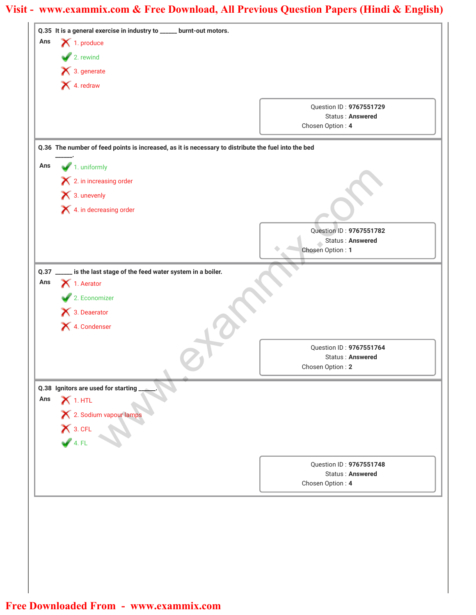|      | Q.35 It is a general exercise in industry to _____ burnt-out motors.                                |                                      |
|------|-----------------------------------------------------------------------------------------------------|--------------------------------------|
| Ans  | $\blacktriangleright$ 1. produce                                                                    |                                      |
|      | $\sqrt{2}$ . rewind                                                                                 |                                      |
|      | $\bigtimes$ 3. generate                                                                             |                                      |
|      | 4. redraw                                                                                           |                                      |
|      |                                                                                                     | Question ID: 9767551729              |
|      |                                                                                                     | <b>Status: Answered</b>              |
|      |                                                                                                     | Chosen Option: 4                     |
|      | Q.36 The number of feed points is increased, as it is necessary to distribute the fuel into the bed |                                      |
| Ans  | $\blacktriangleright$ 1. uniformly                                                                  |                                      |
|      | $\mathsf{\times}$ 2. in increasing order                                                            |                                      |
|      | × 3. unevenly                                                                                       |                                      |
|      |                                                                                                     |                                      |
|      | X 4. in decreasing order                                                                            |                                      |
|      |                                                                                                     | Question ID: 9767551782              |
|      |                                                                                                     | Status: Answered                     |
|      |                                                                                                     | Chosen Option: 1                     |
| Q.37 | __ is the last stage of the feed water system in a boiler.                                          |                                      |
| Ans  | $\bigtimes$ 1. Aerator                                                                              |                                      |
|      | 2. Economizer                                                                                       |                                      |
|      | 1 3. Deaerator                                                                                      |                                      |
|      | X 4. Condenser                                                                                      |                                      |
|      |                                                                                                     |                                      |
|      |                                                                                                     | Question ID: 9767551764              |
|      |                                                                                                     | Status: Answered<br>Chosen Option: 2 |
|      |                                                                                                     |                                      |
| Ans  | Q.38 Ignitors are used for starting                                                                 |                                      |
|      | $X$ 1. HTL                                                                                          |                                      |
|      | X 2. Sodium vapour lamps                                                                            |                                      |
|      | $X$ 3. CFL<br>$\bigvee$ 4. FL                                                                       |                                      |
|      |                                                                                                     |                                      |
|      |                                                                                                     | Question ID: 9767551748              |
|      |                                                                                                     | Status: Answered                     |
|      |                                                                                                     | Chosen Option: 4                     |
|      |                                                                                                     |                                      |
|      |                                                                                                     |                                      |
|      |                                                                                                     |                                      |
|      |                                                                                                     |                                      |
|      |                                                                                                     |                                      |
|      |                                                                                                     |                                      |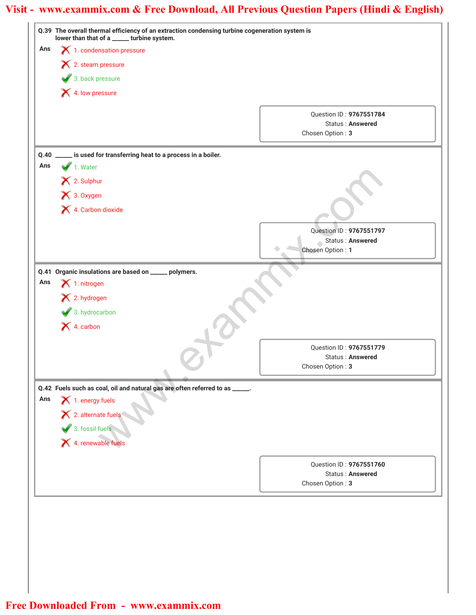|      | Q.39 The overall thermal efficiency of an extraction condensing turbine cogeneration system is<br>lower than that of a _____ turbine system. |                                             |
|------|----------------------------------------------------------------------------------------------------------------------------------------------|---------------------------------------------|
| Ans  | 1. condensation pressure                                                                                                                     |                                             |
|      | $\blacktriangleright$ 2. steam pressure                                                                                                      |                                             |
|      | 3. back pressure                                                                                                                             |                                             |
|      | 4. Iow pressure                                                                                                                              |                                             |
|      |                                                                                                                                              |                                             |
|      |                                                                                                                                              | Question ID: 9767551784                     |
|      |                                                                                                                                              | <b>Status: Answered</b><br>Chosen Option: 3 |
|      |                                                                                                                                              |                                             |
| Q.40 | is used for transferring heat to a process in a boiler.                                                                                      |                                             |
| Ans  | 1. Water                                                                                                                                     |                                             |
|      | X 2. Sulphur                                                                                                                                 |                                             |
|      | × 3. Oxygen                                                                                                                                  |                                             |
|      | X 4. Carbon dioxide                                                                                                                          |                                             |
|      |                                                                                                                                              |                                             |
|      |                                                                                                                                              | Question ID: 9767551797<br>Status: Answered |
|      |                                                                                                                                              | Chosen Option: 1                            |
|      |                                                                                                                                              |                                             |
| Ans  | Q.41 Organic insulations are based on _____<br>polymers.<br>$\blacktriangleright$ 1. nitrogen                                                |                                             |
|      |                                                                                                                                              |                                             |
|      | X 2. hydrogen                                                                                                                                |                                             |
|      | $\blacktriangleright$ 3. hydrocarbon                                                                                                         |                                             |
|      | $\bigtimes$ 4. carbon                                                                                                                        |                                             |
|      |                                                                                                                                              | Question ID: 9767551779                     |
|      |                                                                                                                                              | Status: Answered                            |
|      |                                                                                                                                              | Chosen Option: 3                            |
|      | Q.42 Fuels such as coal, oil and natural gas are often referred to as _____.                                                                 |                                             |
| Ans  | $\bigtimes$ 1. energy fuels                                                                                                                  |                                             |
|      |                                                                                                                                              |                                             |
|      |                                                                                                                                              |                                             |
|      | 2. alternate fuels<br>3. fossil fuels<br>X 4. renewable fuels                                                                                |                                             |
|      |                                                                                                                                              |                                             |
|      |                                                                                                                                              | Question ID: 9767551760                     |
|      |                                                                                                                                              | <b>Status: Answered</b><br>Chosen Option: 3 |
|      |                                                                                                                                              |                                             |
|      |                                                                                                                                              |                                             |
|      |                                                                                                                                              |                                             |
|      |                                                                                                                                              |                                             |
|      |                                                                                                                                              |                                             |
|      |                                                                                                                                              |                                             |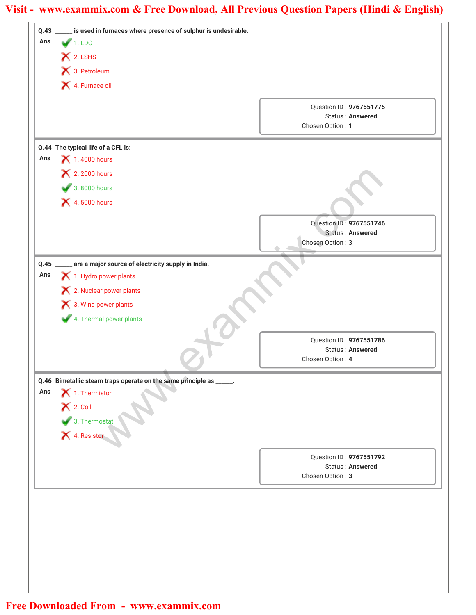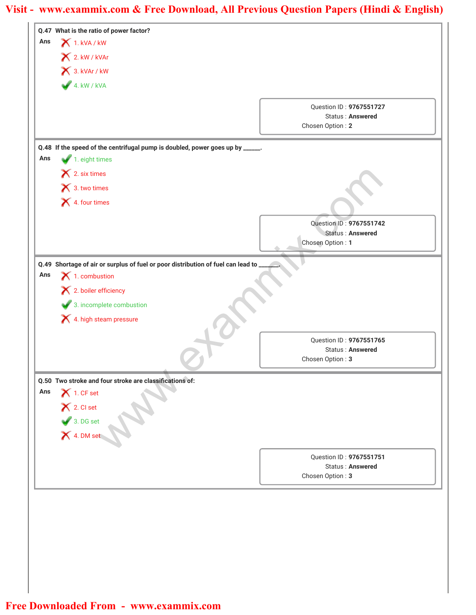| Ans | Q.47 What is the ratio of power factor?<br>1. kVA / kW                           |                                             |
|-----|----------------------------------------------------------------------------------|---------------------------------------------|
|     | 2. kW / kVAr                                                                     |                                             |
|     | 3. kVAr / kW                                                                     |                                             |
|     |                                                                                  |                                             |
|     | $4.$ kW / kVA                                                                    |                                             |
|     |                                                                                  | Question ID: 9767551727                     |
|     |                                                                                  | Status: Answered<br>Chosen Option: 2        |
|     |                                                                                  |                                             |
|     | Q.48 If the speed of the centrifugal pump is doubled, power goes up by _____.    |                                             |
| Ans | 1. eight times                                                                   |                                             |
|     | × 2. six times                                                                   |                                             |
|     | 1 3. two times                                                                   |                                             |
|     | X 4. four times                                                                  |                                             |
|     |                                                                                  | Question ID: 9767551742                     |
|     |                                                                                  | Status: Answered                            |
|     |                                                                                  | Chosen Option: 1                            |
|     | Q.49 Shortage of air or surplus of fuel or poor distribution of fuel can lead to |                                             |
| Ans | $\blacktriangleright$ 1. combustion                                              |                                             |
|     | $\blacktriangleright$ 2. boiler efficiency                                       |                                             |
|     | 3. incomplete combustion                                                         |                                             |
|     | X 4. high steam pressure                                                         |                                             |
|     |                                                                                  | Question ID: 9767551765                     |
|     |                                                                                  | Status: Answered                            |
|     |                                                                                  | Chosen Option: 3                            |
|     |                                                                                  |                                             |
|     | Q.50 Two stroke and four stroke are classifications of:                          |                                             |
| Ans | $\bigtimes$ 1. CF set                                                            |                                             |
|     |                                                                                  |                                             |
|     |                                                                                  |                                             |
|     |                                                                                  |                                             |
|     | X 2. Cl set<br>3. DG set<br>X 4. DM set                                          |                                             |
|     |                                                                                  | Question ID: 9767551751                     |
|     |                                                                                  | <b>Status: Answered</b><br>Chosen Option: 3 |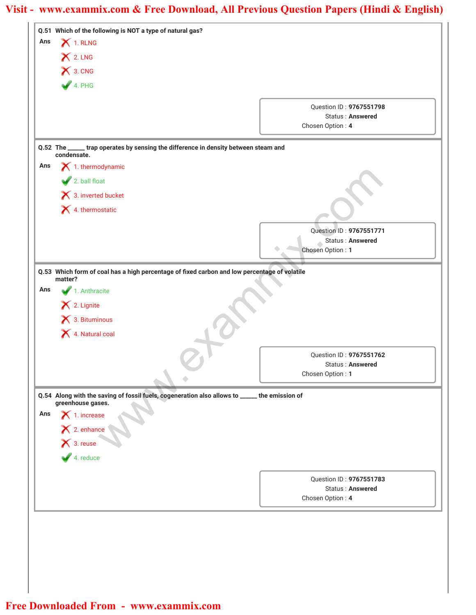| Q.51 Which of the following is NOT a type of natural gas?<br>$\blacktriangleright$ 1. RLNG<br>Ans                  |                                      |
|--------------------------------------------------------------------------------------------------------------------|--------------------------------------|
| X 2. LNG                                                                                                           |                                      |
| X 3. CNG                                                                                                           |                                      |
|                                                                                                                    |                                      |
| 4. PHG                                                                                                             |                                      |
|                                                                                                                    | Question ID: 9767551798              |
|                                                                                                                    | Status: Answered                     |
|                                                                                                                    | Chosen Option: 4                     |
| Q.52 The _____ trap operates by sensing the difference in density between steam and<br>condensate.                 |                                      |
| $\blacktriangleright$ 1. thermodynamic<br>Ans                                                                      |                                      |
| 2. ball float                                                                                                      |                                      |
| 3. inverted bucket                                                                                                 |                                      |
| 4. thermostatic                                                                                                    |                                      |
|                                                                                                                    |                                      |
|                                                                                                                    | Question ID: 9767551771              |
|                                                                                                                    | Status: Answered<br>Chosen Option: 1 |
|                                                                                                                    |                                      |
| Q.53 Which form of coal has a high percentage of fixed carbon and low percentage of volatile<br>matter?            |                                      |
| 1. Anthracite<br>Ans                                                                                               |                                      |
| X 2. Lignite                                                                                                       |                                      |
| × 3. Bituminous                                                                                                    |                                      |
| 4. Natural coal                                                                                                    |                                      |
|                                                                                                                    |                                      |
|                                                                                                                    | Question ID: 9767551762              |
|                                                                                                                    | Status: Answered<br>Chosen Option: 1 |
|                                                                                                                    |                                      |
| Q.54 Along with the saving of fossil fuels, cogeneration also allows to _____ the emission of<br>greenhouse gases. |                                      |
| $\bigtimes$ 1. increase<br>Ans                                                                                     |                                      |
|                                                                                                                    |                                      |
| X 2. enhance                                                                                                       |                                      |
| $\overline{4}$ . reduce                                                                                            |                                      |
|                                                                                                                    |                                      |
|                                                                                                                    | Question ID: 9767551783              |
|                                                                                                                    | Status: Answered                     |
|                                                                                                                    | Chosen Option: 4                     |
|                                                                                                                    |                                      |
|                                                                                                                    |                                      |
|                                                                                                                    |                                      |
|                                                                                                                    |                                      |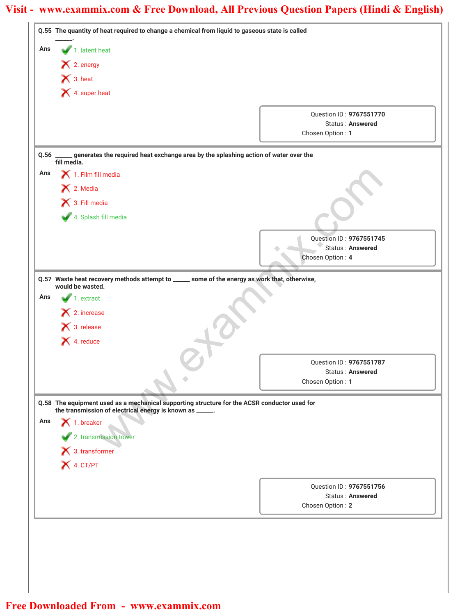|     |                                                          | Q.55 The quantity of heat required to change a chemical from liquid to gaseous state is called             |                                                    |
|-----|----------------------------------------------------------|------------------------------------------------------------------------------------------------------------|----------------------------------------------------|
| Ans | 1. latent heat                                           |                                                                                                            |                                                    |
|     | X 2. energy                                              |                                                                                                            |                                                    |
|     | $\bigtimes$ 3. heat                                      |                                                                                                            |                                                    |
|     | X 4. super heat                                          |                                                                                                            |                                                    |
|     |                                                          |                                                                                                            |                                                    |
|     |                                                          |                                                                                                            | Question ID: 9767551770<br><b>Status: Answered</b> |
|     |                                                          |                                                                                                            | Chosen Option: 1                                   |
|     |                                                          | Q.56 _____ generates the required heat exchange area by the splashing action of water over the fill media. |                                                    |
| Ans | $\blacktriangleright$ 1. Film fill media                 |                                                                                                            |                                                    |
|     | $\blacktriangleright$ 2. Media                           |                                                                                                            |                                                    |
|     | 1 3. Fill media                                          |                                                                                                            |                                                    |
|     | 4. Splash fill media                                     |                                                                                                            |                                                    |
|     |                                                          |                                                                                                            |                                                    |
|     |                                                          |                                                                                                            | Question ID: 9767551745                            |
|     |                                                          |                                                                                                            | Status: Answered<br>Chosen Option: 4               |
|     | would be wasted.                                         | Q.57 Waste heat recovery methods attempt to _____ some of the energy as work that, otherwise,              |                                                    |
| Ans | $\blacksquare$ 1. extract                                |                                                                                                            |                                                    |
|     | × 2. increase                                            |                                                                                                            |                                                    |
|     | $\blacktriangleright$ 3. release                         |                                                                                                            |                                                    |
|     | 1. reduce                                                |                                                                                                            |                                                    |
|     |                                                          |                                                                                                            |                                                    |
|     |                                                          |                                                                                                            | Question ID: 9767551787<br><b>Status: Answered</b> |
|     |                                                          |                                                                                                            | Chosen Option: 1                                   |
|     |                                                          | Q.58 The equipment used as a mechanical supporting structure for the ACSR conductor used for               |                                                    |
|     | the transmission of electrical energy is known as _____. |                                                                                                            |                                                    |
|     | $\bigtimes$ 1. breaker                                   |                                                                                                            |                                                    |
| Ans |                                                          |                                                                                                            |                                                    |
|     | 2. transmission tower                                    |                                                                                                            |                                                    |
|     | × 3. transformer                                         |                                                                                                            |                                                    |
|     | X 4. CT/PT                                               |                                                                                                            |                                                    |
|     |                                                          |                                                                                                            |                                                    |
|     |                                                          |                                                                                                            | Question ID: 9767551756<br><b>Status: Answered</b> |
|     |                                                          |                                                                                                            | Chosen Option: 2                                   |
|     |                                                          |                                                                                                            |                                                    |
|     |                                                          |                                                                                                            |                                                    |
|     |                                                          |                                                                                                            |                                                    |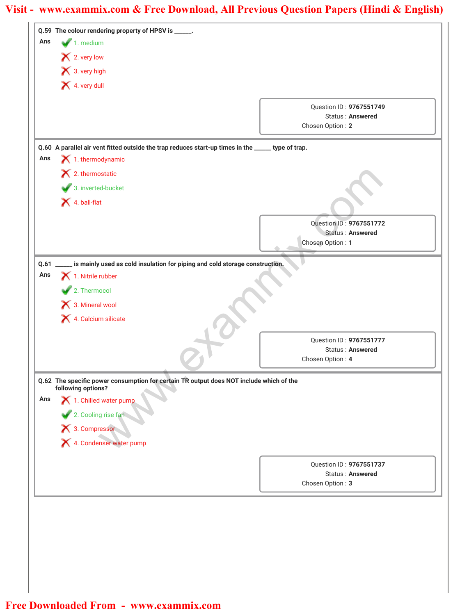|      | Q.59 The colour rendering property of HPSV is _____.                                               |                                      |
|------|----------------------------------------------------------------------------------------------------|--------------------------------------|
| Ans  | $\blacksquare$ 1. medium                                                                           |                                      |
|      | X 2. very low                                                                                      |                                      |
|      | X 3. very high                                                                                     |                                      |
|      | 4. very dull                                                                                       |                                      |
|      |                                                                                                    | Question ID: 9767551749              |
|      |                                                                                                    | Status: Answered                     |
|      |                                                                                                    | Chosen Option: 2                     |
|      | Q.60 A parallel air vent fitted outside the trap reduces start-up times in the _____ type of trap. |                                      |
| Ans  | $\blacktriangleright$ 1. thermodynamic                                                             |                                      |
|      | $\blacktriangleright$ 2. thermostatic                                                              |                                      |
|      | 3. inverted-bucket                                                                                 |                                      |
|      | $\blacktriangleright$ 4. ball-flat                                                                 |                                      |
|      |                                                                                                    | Question ID: 9767551772              |
|      |                                                                                                    | Status: Answered<br>Chosen Option: 1 |
|      |                                                                                                    |                                      |
| Q.61 | is mainly used as cold insulation for piping and cold storage construction.                        |                                      |
| Ans  | $\blacktriangle$ 1. Nitrile rubber                                                                 |                                      |
|      | 2. Thermocol                                                                                       |                                      |
|      | 3. Mineral wool                                                                                    |                                      |
|      | 1. Calcium silicate                                                                                |                                      |
|      |                                                                                                    | Question ID: 9767551777              |
|      |                                                                                                    | Status: Answered                     |
|      |                                                                                                    | Chosen Option: 4                     |
|      | Q.62 The specific power consumption for certain TR output does NOT include which of the            |                                      |
|      | following options?                                                                                 |                                      |
| Ans  | 1. Chilled water pump                                                                              |                                      |
|      | 2. Cooling rise fan                                                                                |                                      |
|      | 1 3. Compressor<br>2 4. Condenser water pump                                                       |                                      |
|      |                                                                                                    |                                      |
|      |                                                                                                    | Question ID: 9767551737              |
|      |                                                                                                    | <b>Status: Answered</b>              |
|      |                                                                                                    | Chosen Option: 3                     |
|      |                                                                                                    |                                      |
|      |                                                                                                    |                                      |
|      |                                                                                                    |                                      |
|      |                                                                                                    |                                      |
|      |                                                                                                    |                                      |
|      |                                                                                                    |                                      |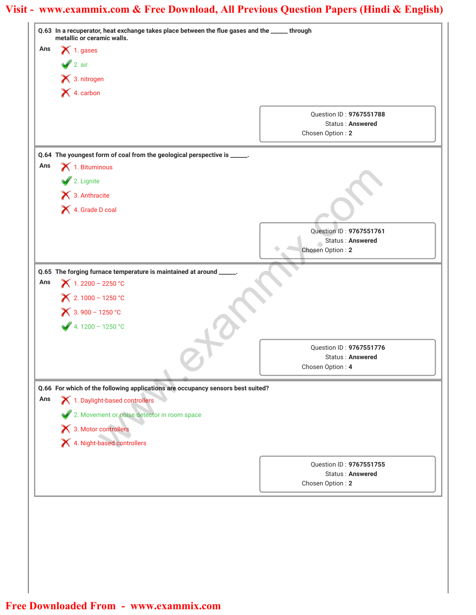|     | Q.63 In a recuperator, heat exchange takes place between the flue gases and the _____ through<br>metallic or ceramic walls. |                                             |
|-----|-----------------------------------------------------------------------------------------------------------------------------|---------------------------------------------|
| Ans | $\blacktriangleright$ 1. gases                                                                                              |                                             |
|     | $\sqrt{2}$ . air                                                                                                            |                                             |
|     | X 3. nitrogen                                                                                                               |                                             |
|     | X 4. carbon                                                                                                                 |                                             |
|     |                                                                                                                             | Question ID: 9767551788                     |
|     |                                                                                                                             | <b>Status: Answered</b>                     |
|     |                                                                                                                             | Chosen Option: 2                            |
|     | Q.64 The youngest form of coal from the geological perspective is _____.                                                    |                                             |
| Ans | $\bigtimes$ 1. Bituminous                                                                                                   |                                             |
|     | 2. Lignite                                                                                                                  |                                             |
|     | $\bigtimes$ 3. Anthracite                                                                                                   |                                             |
|     | 4. Grade D coal                                                                                                             |                                             |
|     |                                                                                                                             | Question ID: 9767551761                     |
|     |                                                                                                                             | Status: Answered                            |
|     |                                                                                                                             | Chosen Option: 2                            |
|     | Q.65 The forging furnace temperature is maintained at around                                                                |                                             |
| Ans | $X$ 1.2200 - 2250 °C                                                                                                        |                                             |
|     | $X$ 2.1000 - 1250 °C                                                                                                        |                                             |
|     | $X$ 3.900 - 1250 °C                                                                                                         |                                             |
|     | $4.1200 - 1250 °C$                                                                                                          |                                             |
|     |                                                                                                                             |                                             |
|     |                                                                                                                             | Question ID: 9767551776<br>Status: Answered |
|     |                                                                                                                             | Chosen Option: 4                            |
|     |                                                                                                                             |                                             |
| Ans | Q.66 For which of the following applications are occupancy sensors best suited?<br>1. Daylight-based controllers            |                                             |
|     |                                                                                                                             |                                             |
|     | 2. Movement or noise detector in room space                                                                                 |                                             |
|     | X 3. Motor controllers<br>X 4. Night-based controllers                                                                      |                                             |
|     |                                                                                                                             |                                             |
|     |                                                                                                                             | Question ID: 9767551755                     |
|     |                                                                                                                             | <b>Status: Answered</b>                     |
|     |                                                                                                                             | Chosen Option: 2                            |
|     |                                                                                                                             |                                             |
|     |                                                                                                                             |                                             |
|     |                                                                                                                             |                                             |
|     |                                                                                                                             |                                             |
|     |                                                                                                                             |                                             |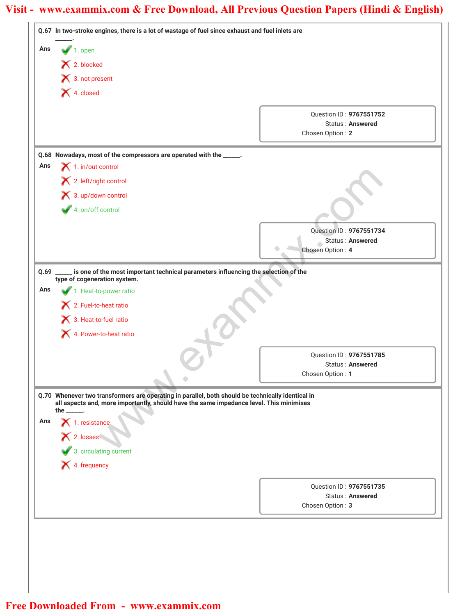|      | Q.67 In two-stroke engines, there is a lot of wastage of fuel since exhaust and fuel inlets are                    |                                      |
|------|--------------------------------------------------------------------------------------------------------------------|--------------------------------------|
| Ans  | $\sqrt{1}$ . open                                                                                                  |                                      |
|      | X 2. blocked                                                                                                       |                                      |
|      | × 3. not present                                                                                                   |                                      |
|      | X 4. closed                                                                                                        |                                      |
|      |                                                                                                                    | Question ID: 9767551752              |
|      |                                                                                                                    | <b>Status: Answered</b>              |
|      |                                                                                                                    | Chosen Option: 2                     |
|      | Q.68 Nowadays, most of the compressors are operated with the _____.                                                |                                      |
| Ans  | $\blacktriangleright$ 1. in/out control                                                                            |                                      |
|      | X 2. left/right control                                                                                            |                                      |
|      | 3. up/down control                                                                                                 |                                      |
|      | 4. on/off control                                                                                                  |                                      |
|      |                                                                                                                    |                                      |
|      |                                                                                                                    | Question ID: 9767551734              |
|      |                                                                                                                    | Status: Answered<br>Chosen Option: 4 |
|      |                                                                                                                    |                                      |
| Q.69 | is one of the most important technical parameters influencing the selection of the<br>type of cogeneration system. |                                      |
| Ans  | 1. Heat-to-power ratio                                                                                             |                                      |
|      | 2. Fuel-to-heat ratio                                                                                              |                                      |
|      | 3. Heat-to-fuel ratio                                                                                              |                                      |
|      |                                                                                                                    |                                      |
|      | 4. Power-to-heat ratio                                                                                             |                                      |
|      |                                                                                                                    | Question ID: 9767551785              |
|      |                                                                                                                    | Status: Answered                     |
|      |                                                                                                                    | Chosen Option: 1                     |
|      | Q.70 Whenever two transformers are operating in parallel, both should be technically identical in                  |                                      |
|      | all aspects and, more importantly, should have the same impedance level. This minimises<br>the $\frac{1}{1}$ .     |                                      |
| Ans  |                                                                                                                    |                                      |
|      |                                                                                                                    |                                      |
|      | X<br>1. resistance<br>X<br>2. losses<br>3. circulating current                                                     |                                      |
|      | X 4. frequency                                                                                                     |                                      |
|      |                                                                                                                    |                                      |
|      |                                                                                                                    | Question ID: 9767551735              |
|      |                                                                                                                    | <b>Status: Answered</b>              |
|      |                                                                                                                    | Chosen Option: 3                     |
|      |                                                                                                                    |                                      |
|      |                                                                                                                    |                                      |
|      |                                                                                                                    |                                      |
|      |                                                                                                                    |                                      |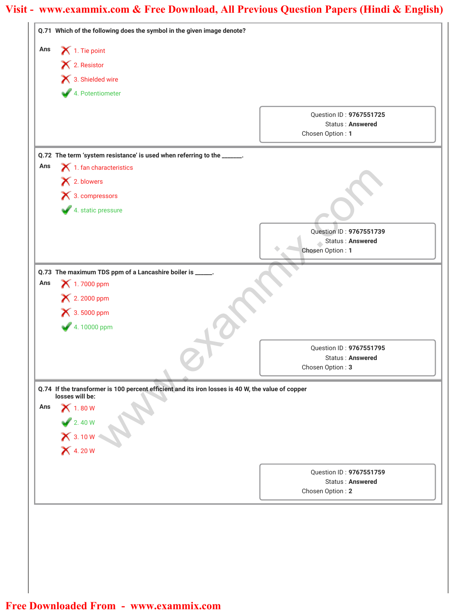|     | Q.71 Which of the following does the symbol in the given image denote?                            |                                                    |
|-----|---------------------------------------------------------------------------------------------------|----------------------------------------------------|
| Ans | $\bigtimes$ 1. Tie point                                                                          |                                                    |
|     | X 2. Resistor                                                                                     |                                                    |
|     | 13. Shielded wire                                                                                 |                                                    |
|     | 4. Potentiometer                                                                                  |                                                    |
|     |                                                                                                   | Question ID: 9767551725                            |
|     |                                                                                                   | Status: Answered                                   |
|     |                                                                                                   | Chosen Option: 1                                   |
|     | Q.72 The term 'system resistance' is used when referring to the _____.                            |                                                    |
| Ans | $\blacktriangleright$ 1. fan characteristics                                                      |                                                    |
|     | X 2. blowers                                                                                      |                                                    |
|     | $\blacktriangleright$ 3. compressors                                                              |                                                    |
|     | 4. static pressure                                                                                |                                                    |
|     |                                                                                                   | Question ID: 9767551739                            |
|     |                                                                                                   | Status : Answered                                  |
|     |                                                                                                   | Chosen Option: 1                                   |
|     | Q.73 The maximum TDS ppm of a Lancashire boiler is _____.                                         |                                                    |
| Ans | 1.7000 ppm                                                                                        |                                                    |
|     | × 2.2000 ppm                                                                                      |                                                    |
|     | $\blacktriangleright$ 3.5000 ppm                                                                  |                                                    |
|     | 4.10000 ppm                                                                                       |                                                    |
|     |                                                                                                   | Question ID: 9767551795                            |
|     |                                                                                                   | Status: Answered                                   |
|     |                                                                                                   | Chosen Option: 3                                   |
|     | Q.74 If the transformer is 100 percent efficient and its iron losses is 40 W, the value of copper |                                                    |
|     | losses will be:                                                                                   |                                                    |
| Ans | $\bigtimes$ 1.80 W                                                                                |                                                    |
|     |                                                                                                   |                                                    |
|     |                                                                                                   |                                                    |
|     | 2. 40 W<br>X 3. 10 W<br>X 4. 20 W                                                                 |                                                    |
|     |                                                                                                   |                                                    |
|     |                                                                                                   | Question ID: 9767551759<br><b>Status: Answered</b> |
|     |                                                                                                   | Chosen Option: 2                                   |
|     |                                                                                                   |                                                    |
|     |                                                                                                   |                                                    |
|     |                                                                                                   |                                                    |
|     |                                                                                                   |                                                    |
|     |                                                                                                   |                                                    |
|     |                                                                                                   |                                                    |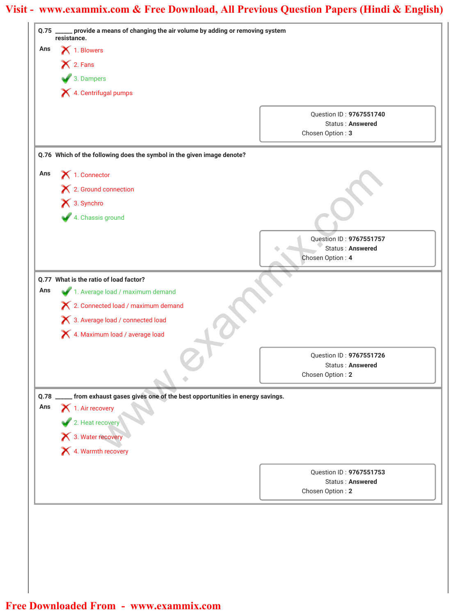| Ans  |                                                                           |                                                    |
|------|---------------------------------------------------------------------------|----------------------------------------------------|
|      | 1. Blowers<br>X 2. Fans<br>3. Dampers<br>X 4. Centrifugal pumps           |                                                    |
|      |                                                                           |                                                    |
|      |                                                                           |                                                    |
|      |                                                                           |                                                    |
|      |                                                                           | Question ID: 9767551740<br><b>Status: Answered</b> |
|      |                                                                           | Chosen Option: 3                                   |
|      | Q.76 Which of the following does the symbol in the given image denote?    |                                                    |
| Ans  | $\bigtimes$ 1. Connector                                                  |                                                    |
|      | X 2. Ground connection                                                    |                                                    |
|      | X 3. Synchro                                                              |                                                    |
|      | 4. Chassis ground                                                         |                                                    |
|      |                                                                           |                                                    |
|      |                                                                           | Question ID: 9767551757                            |
|      |                                                                           | Status: Answered<br>Chosen Option: 4               |
|      |                                                                           |                                                    |
|      | Q.77 What is the ratio of load factor?                                    |                                                    |
| Ans  | 1. Average load / maximum demand                                          |                                                    |
|      | X 2. Connected load / maximum demand                                      |                                                    |
|      | X 3. Average load / connected load                                        |                                                    |
|      | X 4. Maximum load / average load                                          |                                                    |
|      |                                                                           | Question ID: 9767551726                            |
|      |                                                                           | <b>Status: Answered</b>                            |
|      |                                                                           | Chosen Option: 2                                   |
| Q.78 | from exhaust gases gives one of the best opportunities in energy savings. |                                                    |
| Ans  | 1. Air recovery                                                           |                                                    |
|      |                                                                           |                                                    |
|      | 2. Heat recovery                                                          |                                                    |
|      | 4. Warmth recovery                                                        |                                                    |
|      |                                                                           |                                                    |
|      |                                                                           | Question ID: 9767551753                            |
|      |                                                                           | <b>Status: Answered</b><br>Chosen Option: 2        |
|      |                                                                           |                                                    |
|      |                                                                           |                                                    |
|      |                                                                           |                                                    |
|      |                                                                           |                                                    |
|      |                                                                           |                                                    |